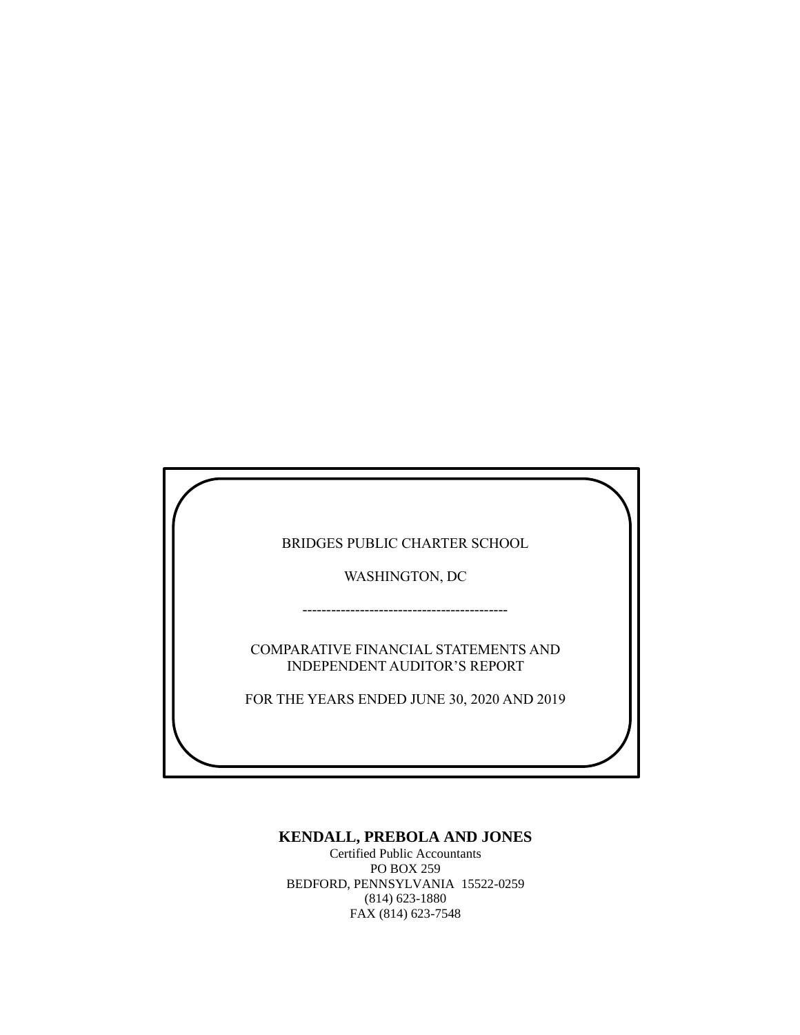BRIDGES PUBLIC CHARTER SCHOOL

WASHINGTON, DC

-------------------------------------------

COMPARATIVE FINANCIAL STATEMENTS AND INDEPENDENT AUDITOR'S REPORT

FOR THE YEARS ENDED JUNE 30, 2020 AND 2019

# **KENDALL, PREBOLA AND JONES**

Certified Public Accountants PO BOX 259 BEDFORD, PENNSYLVANIA 15522-0259 (814) 623-1880 FAX (814) 623-7548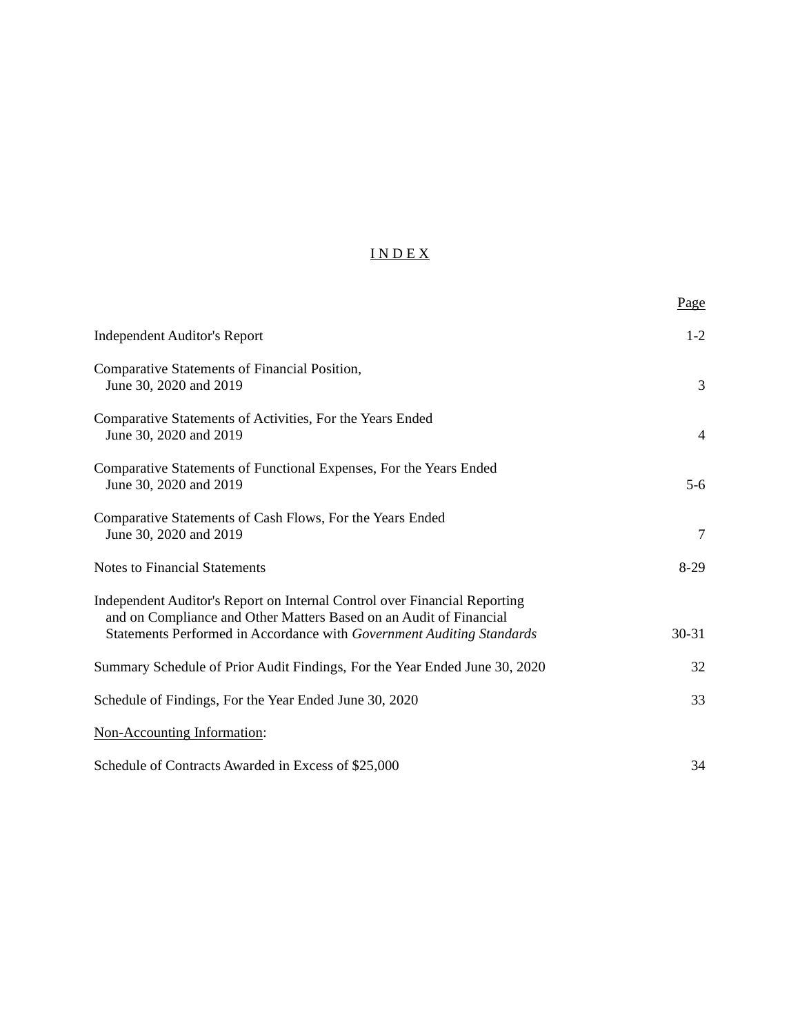# I N D E X

|                                                                                                                                                                                                                          | Page      |
|--------------------------------------------------------------------------------------------------------------------------------------------------------------------------------------------------------------------------|-----------|
| <b>Independent Auditor's Report</b>                                                                                                                                                                                      | $1 - 2$   |
| Comparative Statements of Financial Position,<br>June 30, 2020 and 2019                                                                                                                                                  | 3         |
| Comparative Statements of Activities, For the Years Ended<br>June 30, 2020 and 2019                                                                                                                                      | 4         |
| Comparative Statements of Functional Expenses, For the Years Ended<br>June 30, 2020 and 2019                                                                                                                             | $5-6$     |
| Comparative Statements of Cash Flows, For the Years Ended<br>June 30, 2020 and 2019                                                                                                                                      | $\tau$    |
| <b>Notes to Financial Statements</b>                                                                                                                                                                                     | $8-29$    |
| Independent Auditor's Report on Internal Control over Financial Reporting<br>and on Compliance and Other Matters Based on an Audit of Financial<br>Statements Performed in Accordance with Government Auditing Standards | $30 - 31$ |
| Summary Schedule of Prior Audit Findings, For the Year Ended June 30, 2020                                                                                                                                               | 32        |
| Schedule of Findings, For the Year Ended June 30, 2020                                                                                                                                                                   | 33        |
| Non-Accounting Information:                                                                                                                                                                                              |           |
| Schedule of Contracts Awarded in Excess of \$25,000                                                                                                                                                                      | 34        |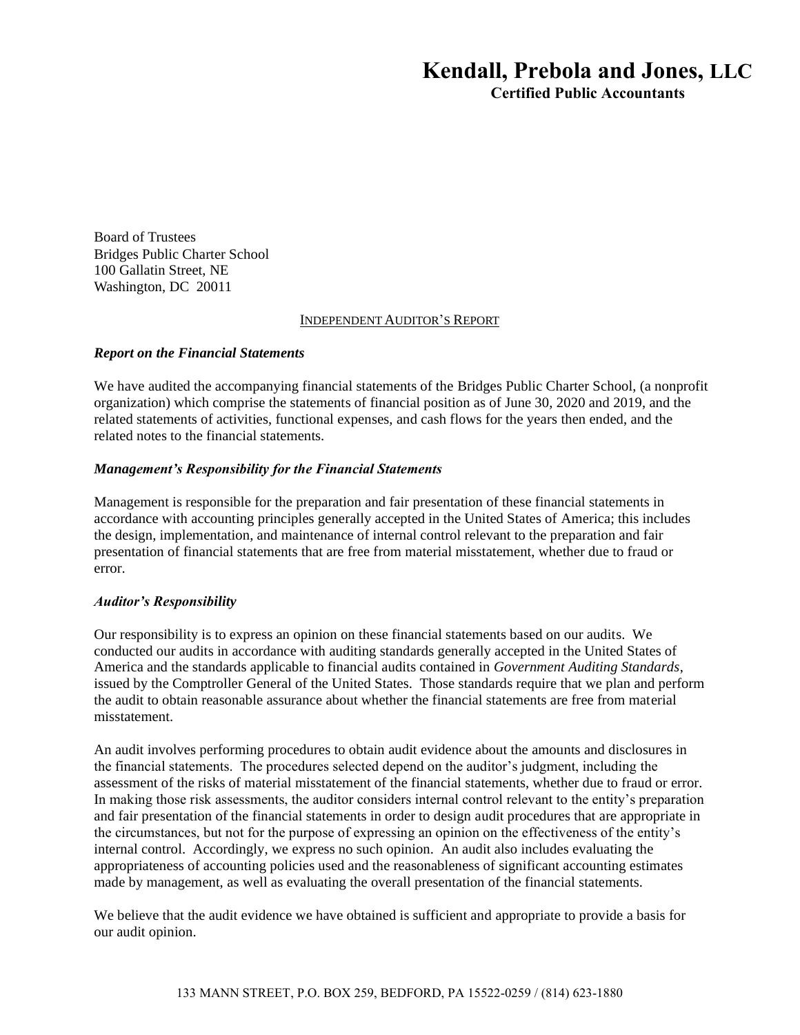# Kendall, Prebola and Jones, LLC

Certified Public Accountants

Board of Trustees Bridges Public Charter School 100 Gallatin Street, NE Washington, DC 20011

#### INDEPENDENT AUDITOR'S REPORT

#### *Report on the Financial Statements*

We have audited the accompanying financial statements of the Bridges Public Charter School, (a nonprofit organization) which comprise the statements of financial position as of June 30, 2020 and 2019, and the related statements of activities, functional expenses, and cash flows for the years then ended, and the related notes to the financial statements.

# *Management's Responsibility for the Financial Statements*

Management is responsible for the preparation and fair presentation of these financial statements in accordance with accounting principles generally accepted in the United States of America; this includes the design, implementation, and maintenance of internal control relevant to the preparation and fair presentation of financial statements that are free from material misstatement, whether due to fraud or error.

# *Auditor's Responsibility*

Our responsibility is to express an opinion on these financial statements based on our audits. We conducted our audits in accordance with auditing standards generally accepted in the United States of America and the standards applicable to financial audits contained in *Government Auditing Standards*, issued by the Comptroller General of the United States. Those standards require that we plan and perform the audit to obtain reasonable assurance about whether the financial statements are free from material misstatement.

An audit involves performing procedures to obtain audit evidence about the amounts and disclosures in the financial statements. The procedures selected depend on the auditor's judgment, including the assessment of the risks of material misstatement of the financial statements, whether due to fraud or error. In making those risk assessments, the auditor considers internal control relevant to the entity's preparation and fair presentation of the financial statements in order to design audit procedures that are appropriate in the circumstances, but not for the purpose of expressing an opinion on the effectiveness of the entity's internal control. Accordingly, we express no such opinion. An audit also includes evaluating the appropriateness of accounting policies used and the reasonableness of significant accounting estimates made by management, as well as evaluating the overall presentation of the financial statements.

We believe that the audit evidence we have obtained is sufficient and appropriate to provide a basis for our audit opinion.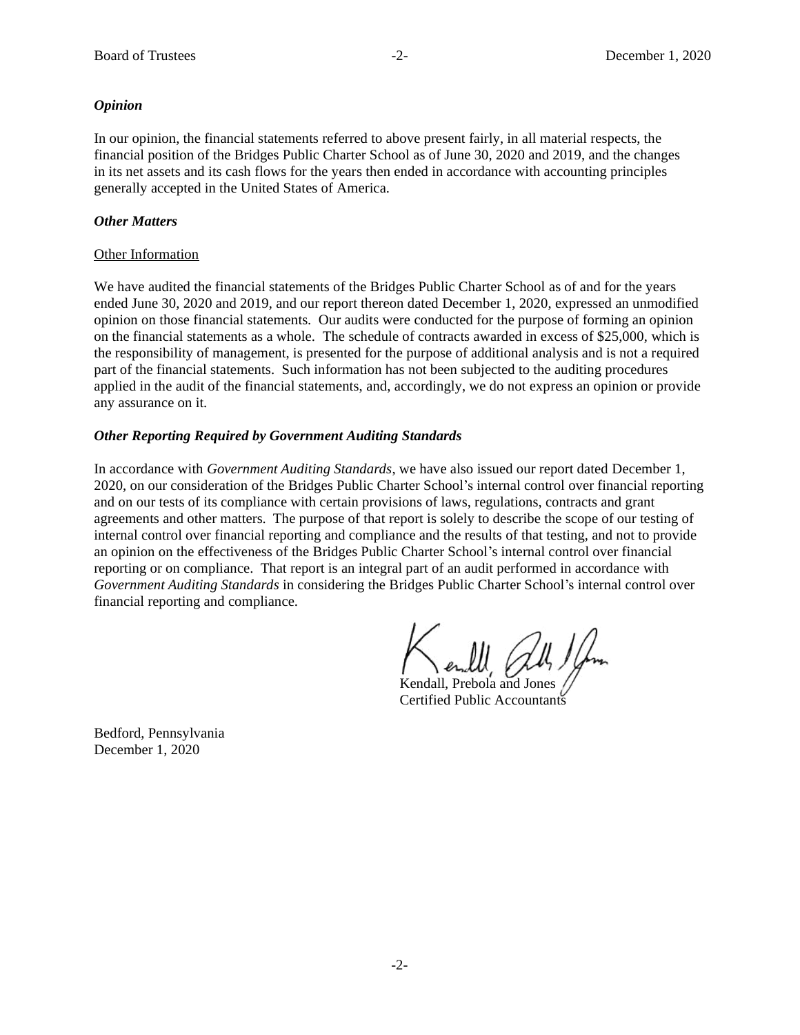## *Opinion*

In our opinion, the financial statements referred to above present fairly, in all material respects, the financial position of the Bridges Public Charter School as of June 30, 2020 and 2019, and the changes in its net assets and its cash flows for the years then ended in accordance with accounting principles generally accepted in the United States of America.

#### *Other Matters*

## Other Information

We have audited the financial statements of the Bridges Public Charter School as of and for the years ended June 30, 2020 and 2019, and our report thereon dated December 1, 2020, expressed an unmodified opinion on those financial statements. Our audits were conducted for the purpose of forming an opinion on the financial statements as a whole. The schedule of contracts awarded in excess of \$25,000, which is the responsibility of management, is presented for the purpose of additional analysis and is not a required part of the financial statements. Such information has not been subjected to the auditing procedures applied in the audit of the financial statements, and, accordingly, we do not express an opinion or provide any assurance on it.

# *Other Reporting Required by Government Auditing Standards*

In accordance with *Government Auditing Standards*, we have also issued our report dated December 1, 2020, on our consideration of the Bridges Public Charter School's internal control over financial reporting and on our tests of its compliance with certain provisions of laws, regulations, contracts and grant agreements and other matters. The purpose of that report is solely to describe the scope of our testing of internal control over financial reporting and compliance and the results of that testing, and not to provide an opinion on the effectiveness of the Bridges Public Charter School's internal control over financial reporting or on compliance. That report is an integral part of an audit performed in accordance with *Government Auditing Standards* in considering the Bridges Public Charter School's internal control over financial reporting and compliance.

Kendall, Prebola and Jones Certified Public Accountant

Bedford, Pennsylvania December 1, 2020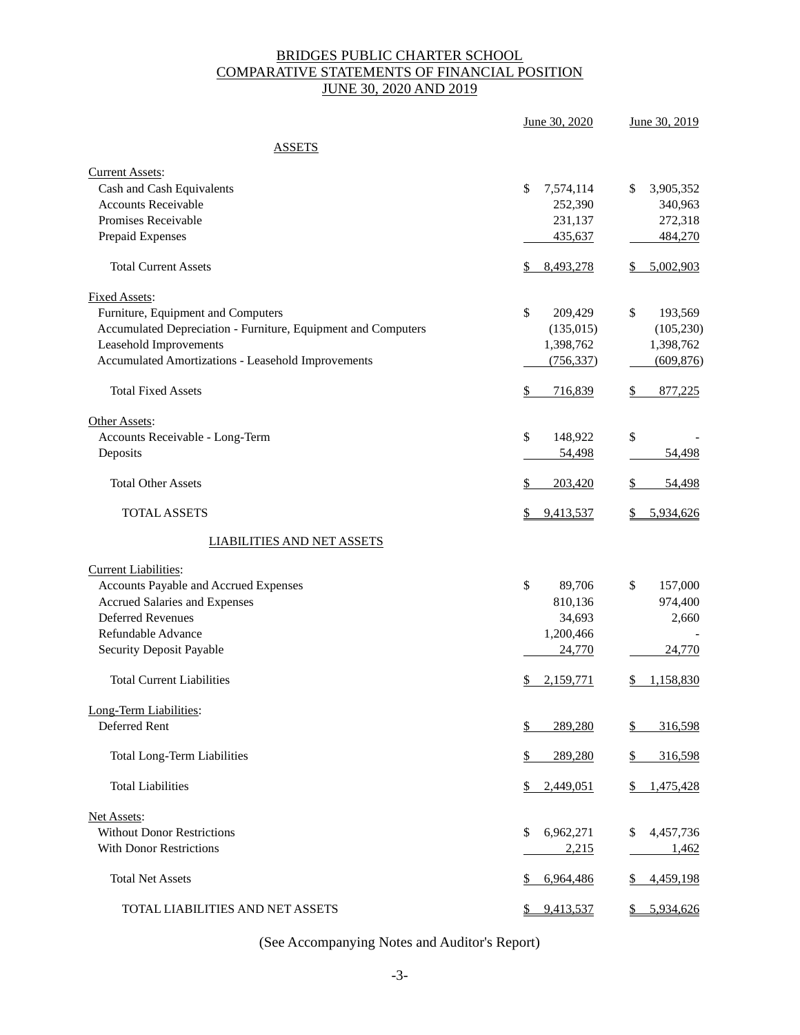# BRIDGES PUBLIC CHARTER SCHOOL COMPARATIVE STATEMENTS OF FINANCIAL POSITION JUNE 30, 2020 AND 2019

|                                                               | June 30, 2020   | June 30, 2019   |
|---------------------------------------------------------------|-----------------|-----------------|
| <b>ASSETS</b>                                                 |                 |                 |
| <b>Current Assets:</b>                                        |                 |                 |
| Cash and Cash Equivalents                                     | \$<br>7,574,114 | \$<br>3,905,352 |
| <b>Accounts Receivable</b>                                    | 252,390         | 340,963         |
| Promises Receivable                                           | 231,137         | 272,318         |
| Prepaid Expenses                                              | 435,637         | 484,270         |
| <b>Total Current Assets</b>                                   | 8,493,278<br>\$ | 5,002,903<br>S. |
| <b>Fixed Assets:</b>                                          |                 |                 |
| Furniture, Equipment and Computers                            | \$<br>209,429   | \$<br>193,569   |
| Accumulated Depreciation - Furniture, Equipment and Computers | (135,015)       | (105, 230)      |
| Leasehold Improvements                                        | 1,398,762       | 1,398,762       |
| Accumulated Amortizations - Leasehold Improvements            | (756, 337)      | (609, 876)      |
| <b>Total Fixed Assets</b>                                     | 716,839<br>\$   | 877,225<br>\$   |
| Other Assets:                                                 |                 |                 |
| Accounts Receivable - Long-Term                               | \$<br>148,922   | \$              |
| Deposits                                                      | <u>54,498</u>   | 54,498          |
| <b>Total Other Assets</b>                                     | 203,420<br>\$   | \$<br>54,498    |
| <b>TOTAL ASSETS</b>                                           | \$9,413,537     | 5,934,626       |
| <b>LIABILITIES AND NET ASSETS</b>                             |                 |                 |
| Current Liabilities:                                          |                 |                 |
| Accounts Payable and Accrued Expenses                         | \$<br>89,706    | \$<br>157,000   |
| <b>Accrued Salaries and Expenses</b>                          | 810,136         | 974,400         |
| <b>Deferred Revenues</b>                                      | 34,693          | 2,660           |
| Refundable Advance                                            | 1,200,466       |                 |
| Security Deposit Payable                                      | 24,770          | 24,770          |
| <b>Total Current Liabilities</b>                              | 2,159,771<br>\$ | 1,158,830<br>\$ |
| Long-Term Liabilities:                                        |                 |                 |
| Deferred Rent                                                 | \$<br>289,280   | 316,598<br>\$   |
| <b>Total Long-Term Liabilities</b>                            | 289,280<br>\$   | \$<br>316,598   |
| <b>Total Liabilities</b>                                      | 2,449,051       | 1,475,428<br>\$ |
| Net Assets:                                                   |                 |                 |
| <b>Without Donor Restrictions</b>                             | 6,962,271<br>\$ | 4,457,736       |
| <b>With Donor Restrictions</b>                                | 2,215           | 1,462           |
| <b>Total Net Assets</b>                                       | 6,964,486       | 4,459,198       |
| TOTAL LIABILITIES AND NET ASSETS                              | 9,413,537       | 5,934,626<br>\$ |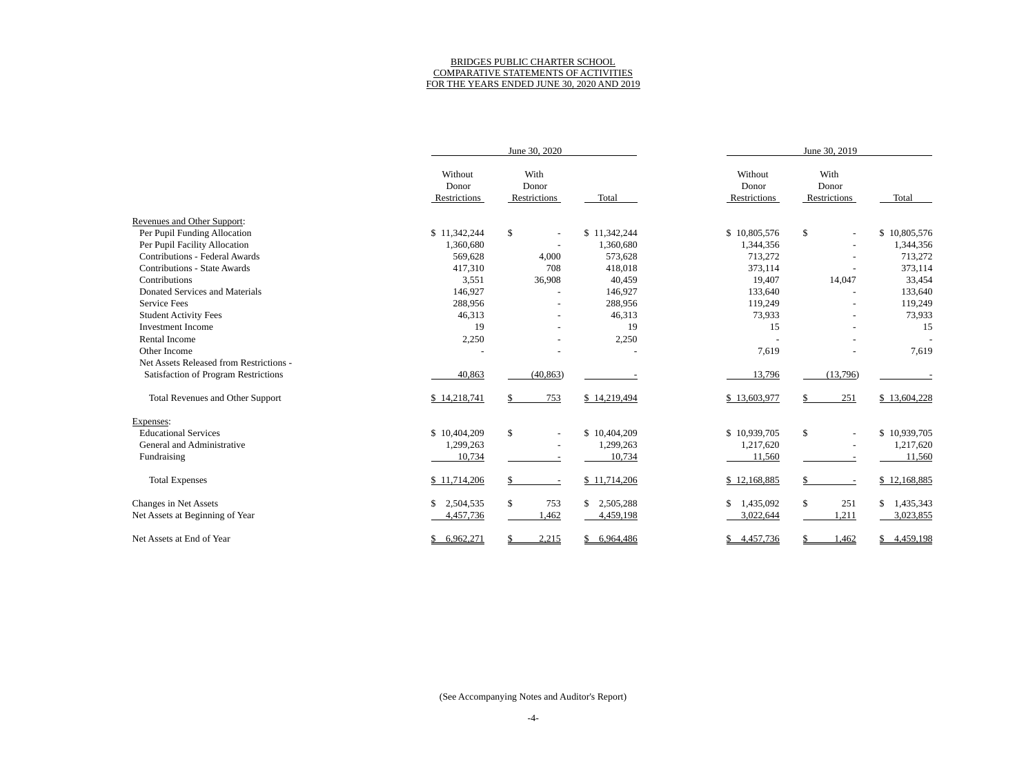#### BRIDGES PUBLIC CHARTER SCHOOL COMPARATIVE STATEMENTS OF ACTIVITIES FOR THE YEARS ENDED JUNE 30, 2020 AND 2019

|                                         | June 30, 2020                    |                               |                 | June 30, 2019                    |                               |                 |  |
|-----------------------------------------|----------------------------------|-------------------------------|-----------------|----------------------------------|-------------------------------|-----------------|--|
|                                         | Without<br>Donor<br>Restrictions | With<br>Donor<br>Restrictions | Total           | Without<br>Donor<br>Restrictions | With<br>Donor<br>Restrictions | Total           |  |
| Revenues and Other Support:             |                                  |                               |                 |                                  |                               |                 |  |
| Per Pupil Funding Allocation            | \$11,342,244                     | $\mathsf{\$}$                 | \$11,342,244    | \$10,805,576                     | \$<br>$\sim$                  | \$10,805,576    |  |
| Per Pupil Facility Allocation           | 1,360,680                        |                               | 1,360,680       | 1,344,356                        | $\sim$                        | 1,344,356       |  |
| <b>Contributions - Federal Awards</b>   | 569,628                          | 4,000                         | 573,628         | 713,272                          |                               | 713,272         |  |
| <b>Contributions - State Awards</b>     | 417,310                          | 708                           | 418,018         | 373,114                          |                               | 373,114         |  |
| Contributions                           | 3,551                            | 36,908                        | 40,459          | 19,407                           | 14,047                        | 33,454          |  |
| Donated Services and Materials          | 146,927                          |                               | 146,927         | 133,640                          | $\overline{\phantom{a}}$      | 133,640         |  |
| <b>Service Fees</b>                     | 288,956                          |                               | 288,956         | 119,249                          | $\overline{\phantom{a}}$      | 119,249         |  |
| <b>Student Activity Fees</b>            | 46,313                           |                               | 46,313          | 73,933                           | $\sim$                        | 73,933          |  |
| <b>Investment Income</b>                | 19                               |                               | 19              | 15                               | $\sim$                        | 15              |  |
| Rental Income                           | 2,250                            |                               | 2,250           |                                  | $\overline{\phantom{a}}$      |                 |  |
| Other Income                            |                                  |                               |                 | 7,619                            | $\overline{\phantom{a}}$      | 7,619           |  |
| Net Assets Released from Restrictions - |                                  |                               |                 |                                  |                               |                 |  |
| Satisfaction of Program Restrictions    | 40,863                           | (40, 863)                     |                 | 13,796                           | (13,796)                      |                 |  |
| <b>Total Revenues and Other Support</b> | \$14,218,741                     | 753                           | \$14,219,494    | \$13,603,977                     | 251                           | \$13,604,228    |  |
| Expenses:                               |                                  |                               |                 |                                  |                               |                 |  |
| <b>Educational Services</b>             | \$10,404,209                     | $\mathsf{\$}$                 | \$10,404,209    | \$10,939,705                     | \$<br>$\sim$                  | \$10,939,705    |  |
| General and Administrative              | 1,299,263                        |                               | 1,299,263       | 1,217,620                        |                               | 1,217,620       |  |
| Fundraising                             | 10,734                           |                               | 10,734          | 11,560                           |                               | 11,560          |  |
| <b>Total Expenses</b>                   | \$11,714,206                     | \$                            | \$11,714,206    | \$12,168,885                     |                               | \$12,168,885    |  |
| Changes in Net Assets                   | 2,504,535<br>$\mathbb{S}$        | \$<br>753                     | 2,505,288<br>\$ | \$<br>1,435,092                  | \$<br>251                     | \$<br>1,435,343 |  |
| Net Assets at Beginning of Year         | 4,457,736                        | 1,462                         | 4,459,198       | 3,022,644                        | 1,211                         | 3,023,855       |  |
| Net Assets at End of Year               | 6,962,271                        | 2,215                         | 6,964,486       | 4,457,736<br>\$                  | 1,462                         | \$4,459,198     |  |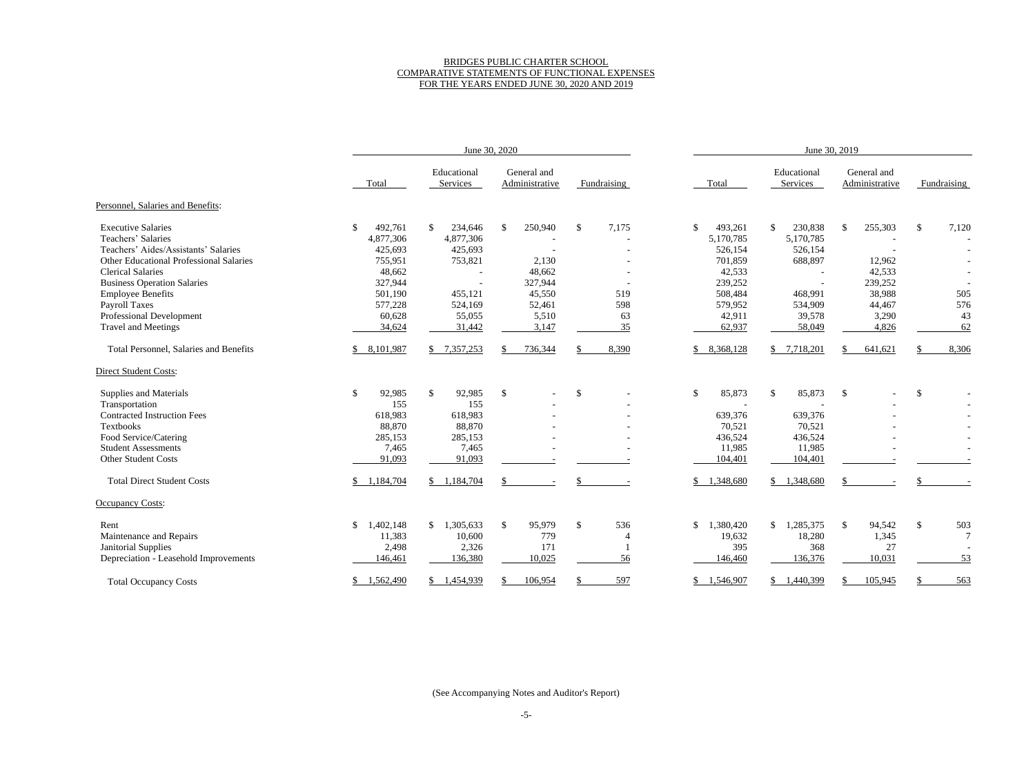#### BRIDGES PUBLIC CHARTER SCHOOL COMPARATIVE STATEMENTS OF FUNCTIONAL EXPENSES FOR THE YEARS ENDED JUNE 30, 2020 AND 2019

|                                                | June 30, 2020   |                          |                               | June 30, 2019  |                 |                           |                               |                       |
|------------------------------------------------|-----------------|--------------------------|-------------------------------|----------------|-----------------|---------------------------|-------------------------------|-----------------------|
|                                                | Total           | Educational<br>Services  | General and<br>Administrative | Fundraising    | Total           | Educational<br>Services   | General and<br>Administrative | <b>Fundraising</b>    |
| Personnel, Salaries and Benefits:              |                 |                          |                               |                |                 |                           |                               |                       |
| <b>Executive Salaries</b>                      | 492,761<br>\$   | 234,646<br><sup>\$</sup> | 250,940<br>\$                 | \$<br>7,175    | 493,261<br>\$   | 230,838<br>\$             | 255,303<br>\$                 | $\mathbb{S}$<br>7,120 |
| Teachers' Salaries                             | 4,877,306       | 4,877,306                |                               |                | 5,170,785       | 5,170,785                 |                               |                       |
| Teachers' Aides/Assistants' Salaries           | 425,693         | 425,693                  |                               |                | 526,154         | 526,154                   |                               |                       |
| <b>Other Educational Professional Salaries</b> | 755,951         | 753,821                  | 2,130                         |                | 701,859         | 688,897                   | 12,962                        |                       |
| <b>Clerical Salaries</b>                       | 48,662          |                          | 48,662                        |                | 42,533          |                           | 42,533                        |                       |
| <b>Business Operation Salaries</b>             | 327,944         |                          | 327,944                       |                | 239,252         |                           | 239,252                       |                       |
| <b>Employee Benefits</b>                       | 501,190         | 455,121                  | 45,550                        | 519            | 508,484         | 468,991                   | 38,988                        | 505                   |
| <b>Payroll Taxes</b>                           | 577,228         | 524,169                  | 52,461                        | 598            | 579,952         | 534,909                   | 44,467                        | 576                   |
| Professional Development                       | 60,628          | 55,055                   | 5,510                         | 63             | 42,911          | 39,578                    | 3,290                         | 43                    |
| <b>Travel and Meetings</b>                     | 34,624          | 31,442                   | 3,147                         | 35             | 62,937          | 58,049                    | 4,826                         | 62                    |
| Total Personnel, Salaries and Benefits         | 8,101,987       | \$7,357,253              | 736,344                       | 8,390          | \$8,368,128     | 7,718,201                 | 641,621                       | 8,306                 |
| Direct Student Costs:                          |                 |                          |                               |                |                 |                           |                               |                       |
| Supplies and Materials                         | 92,985<br>\$    | 92,985<br><sup>\$</sup>  | $\mathcal{S}$                 | \$             | 85,873<br>\$    | 85,873<br><sup>\$</sup>   | $\mathcal{S}$                 | \$                    |
| Transportation                                 | 155             | 155                      |                               |                |                 |                           |                               |                       |
| <b>Contracted Instruction Fees</b>             | 618,983         | 618,983                  |                               |                | 639,376         | 639,376                   |                               |                       |
| Textbooks                                      | 88,870          | 88,870                   |                               |                | 70,521          | 70,521                    |                               |                       |
| Food Service/Catering                          | 285,153         | 285,153                  |                               |                | 436,524         | 436,524                   |                               |                       |
| <b>Student Assessments</b>                     | 7,465           | 7,465                    |                               |                | 11,985          | 11,985                    |                               |                       |
| Other Student Costs                            | 91,093          | 91,093                   |                               |                | 104,401         | 104,401                   |                               |                       |
| <b>Total Direct Student Costs</b>              | 1,184,704       | \$1,184,704              |                               |                | 1,348,680       | 1,348,680                 |                               |                       |
| <b>Occupancy Costs:</b>                        |                 |                          |                               |                |                 |                           |                               |                       |
| Rent                                           | 1,402,148<br>\$ | 1,305,633<br>\$          | 95,979<br>$\mathbb{S}$        | \$<br>536      | \$<br>1,380,420 | 1,285,375<br>$\mathbb{S}$ | $\mathbb{S}$<br>94,542        | $\mathbb{S}$<br>503   |
| Maintenance and Repairs                        | 11,383          | 10,600                   | 779                           | $\overline{4}$ | 19,632          | 18,280                    | 1,345                         | 7                     |
| <b>Janitorial Supplies</b>                     | 2,498           | 2,326                    | 171                           |                | 395             | 368                       | 27                            |                       |
| Depreciation - Leasehold Improvements          | 146,461         | 136,380                  | 10,025                        | 56             | 146,460         | 136,376                   | 10,031                        | 53                    |
| <b>Total Occupancy Costs</b>                   | 1,562,490       | \$1,454,939              | 106,954                       | 597            | 1,546,907<br>\$ | \$1,440,399               | 105,945                       | 563                   |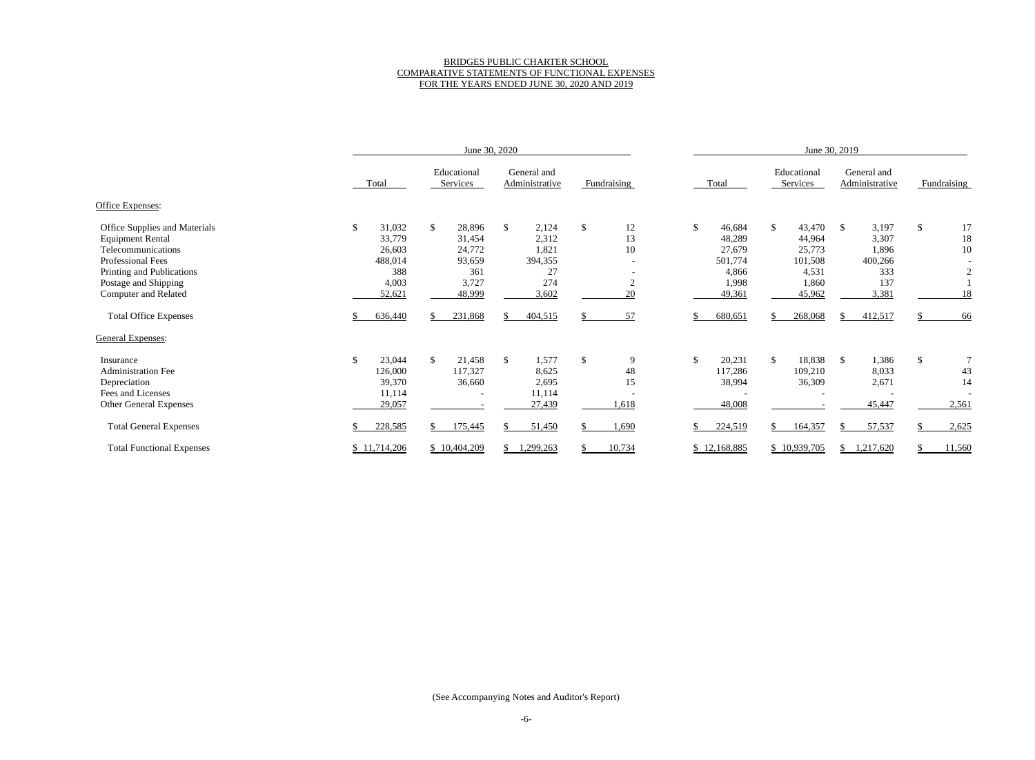#### BRIDGES PUBLIC CHARTER SCHOOL COMPARATIVE STATEMENTS OF FUNCTIONAL EXPENSES FOR THE YEARS ENDED JUNE 30, 2020 AND 2019

|                                      |              |                         | June 30, 2020                 |                     | June 30, 2019 |                         |                               |                    |
|--------------------------------------|--------------|-------------------------|-------------------------------|---------------------|---------------|-------------------------|-------------------------------|--------------------|
|                                      | Total        | Educational<br>Services | General and<br>Administrative | Fundraising         | Total         | Educational<br>Services | General and<br>Administrative | Fundraising        |
| Office Expenses:                     |              |                         |                               |                     |               |                         |                               |                    |
| <b>Office Supplies and Materials</b> | 31,032<br>\$ | 28,896                  | <sup>\$</sup><br>2,124        | $\mathcal{S}$<br>12 | \$<br>46,684  | 43,470<br>\$.           | - \$<br>3,197                 | $\mathbb{S}$<br>17 |
| <b>Equipment Rental</b>              | 33,779       | 31,454                  | 2,312                         | 13                  | 48,289        | 44,964                  | 3,307                         | 18                 |
| <b>Telecommunications</b>            | 26,603       | 24,772                  | 1,821                         | 10                  | 27,679        | 25,773                  | 1,896                         | 10                 |
| Professional Fees                    | 488,014      | 93,659                  | 394,355                       |                     | 501,774       | 101,508                 | 400,266                       |                    |
| Printing and Publications            | 388          | 361                     | 27                            |                     | 4,866         | 4,531                   | 333                           |                    |
| Postage and Shipping                 | 4,003        | 3,727                   | 274                           |                     | 1,998         | 1,860                   | 137                           |                    |
| Computer and Related                 | 52,621       | 48,999                  | 3,602                         | 20                  | 49,361        | 45,962                  | 3,381                         | 18                 |
| <b>Total Office Expenses</b>         | 636,440      | 231,868                 | 404,515                       | 57                  | 680,651       | 268,068                 | 412,517                       | 66                 |
| General Expenses:                    |              |                         |                               |                     |               |                         |                               |                    |
| Insurance                            | \$<br>23,044 | 21,458<br>\$.           | 1,577<br>\$                   | $\mathcal{S}$<br>9  | \$<br>20,231  | 18,838<br><sup>\$</sup> | 1,386<br>$\sqrt{3}$           | $\mathcal{S}$<br>7 |
| <b>Administration Fee</b>            | 126,000      | 117,327                 | 8,625                         | 48                  | 117,286       | 109,210                 | 8,033                         | 43                 |
| Depreciation                         | 39,370       | 36,660                  | 2,695                         | 15                  | 38,994        | 36,309                  | 2,671                         | 14                 |
| Fees and Licenses                    | 11,114       |                         | 11,114                        |                     |               |                         |                               |                    |
| Other General Expenses               | 29,057       |                         | 27,439                        | 1,618               | 48,008        |                         | 45,447                        | 2,561              |
| <b>Total General Expenses</b>        | 228,585      | 175,445                 | 51,450                        | 1,690               | 224,519       | 164,357                 | 57,537                        | 2,625              |
| <b>Total Functional Expenses</b>     | \$11,714,206 | \$10,404,209            | ,299,263                      | 10,734              | \$12,168,885  | \$10,939,705            | 1,217,620                     | 11,560             |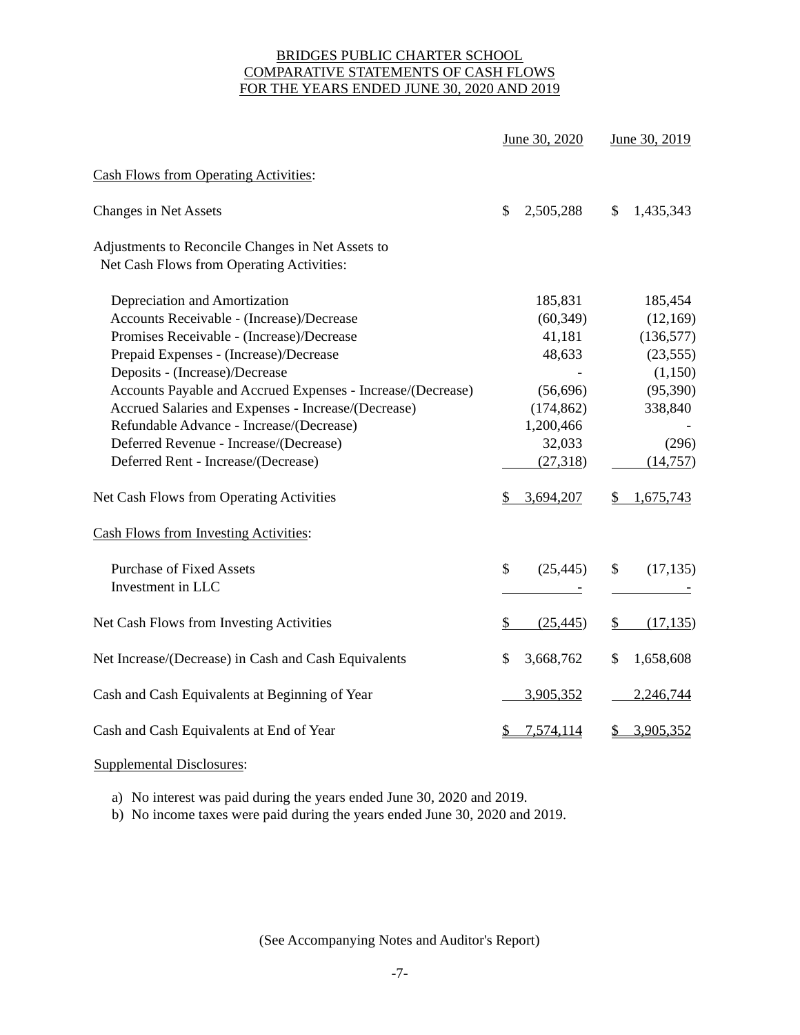## BRIDGES PUBLIC CHARTER SCHOOL COMPARATIVE STATEMENTS OF CASH FLOWS FOR THE YEARS ENDED JUNE 30, 2020 AND 2019

|                                                                                                                                                                                                                                                                                                                                                                                                                                                                                                    | June 30, 2020                                                                                                       | June 30, 2019                                                                                                                |
|----------------------------------------------------------------------------------------------------------------------------------------------------------------------------------------------------------------------------------------------------------------------------------------------------------------------------------------------------------------------------------------------------------------------------------------------------------------------------------------------------|---------------------------------------------------------------------------------------------------------------------|------------------------------------------------------------------------------------------------------------------------------|
| <b>Cash Flows from Operating Activities:</b>                                                                                                                                                                                                                                                                                                                                                                                                                                                       |                                                                                                                     |                                                                                                                              |
| <b>Changes in Net Assets</b>                                                                                                                                                                                                                                                                                                                                                                                                                                                                       | \$<br>2,505,288                                                                                                     | 1,435,343<br>\$                                                                                                              |
| Adjustments to Reconcile Changes in Net Assets to<br>Net Cash Flows from Operating Activities:                                                                                                                                                                                                                                                                                                                                                                                                     |                                                                                                                     |                                                                                                                              |
| Depreciation and Amortization<br>Accounts Receivable - (Increase)/Decrease<br>Promises Receivable - (Increase)/Decrease<br>Prepaid Expenses - (Increase)/Decrease<br>Deposits - (Increase)/Decrease<br>Accounts Payable and Accrued Expenses - Increase/(Decrease)<br>Accrued Salaries and Expenses - Increase/(Decrease)<br>Refundable Advance - Increase/(Decrease)<br>Deferred Revenue - Increase/(Decrease)<br>Deferred Rent - Increase/(Decrease)<br>Net Cash Flows from Operating Activities | 185,831<br>(60, 349)<br>41,181<br>48,633<br>(56,696)<br>(174, 862)<br>1,200,466<br>32,033<br>(27, 318)<br>3,694,207 | 185,454<br>(12, 169)<br>(136, 577)<br>(23, 555)<br>(1, 150)<br>(95, 390)<br>338,840<br>(296)<br>(14, 757)<br>1,675,743<br>\$ |
| <b>Cash Flows from Investing Activities:</b>                                                                                                                                                                                                                                                                                                                                                                                                                                                       |                                                                                                                     |                                                                                                                              |
| <b>Purchase of Fixed Assets</b><br>Investment in LLC                                                                                                                                                                                                                                                                                                                                                                                                                                               | \$<br>(25, 445)                                                                                                     | \$<br>(17, 135)                                                                                                              |
| Net Cash Flows from Investing Activities                                                                                                                                                                                                                                                                                                                                                                                                                                                           | (25, 445)<br>\$                                                                                                     | (17, 135)<br>\$                                                                                                              |
| Net Increase/(Decrease) in Cash and Cash Equivalents                                                                                                                                                                                                                                                                                                                                                                                                                                               | 3,668,762<br>\$                                                                                                     | 1,658,608<br>\$                                                                                                              |
| Cash and Cash Equivalents at Beginning of Year                                                                                                                                                                                                                                                                                                                                                                                                                                                     | 3,905,352                                                                                                           | 2,246,744                                                                                                                    |
| Cash and Cash Equivalents at End of Year                                                                                                                                                                                                                                                                                                                                                                                                                                                           | 7,574,114                                                                                                           | 3,905,352                                                                                                                    |

Supplemental Disclosures:

- a) No interest was paid during the years ended June 30, 2020 and 2019.
- b) No income taxes were paid during the years ended June 30, 2020 and 2019.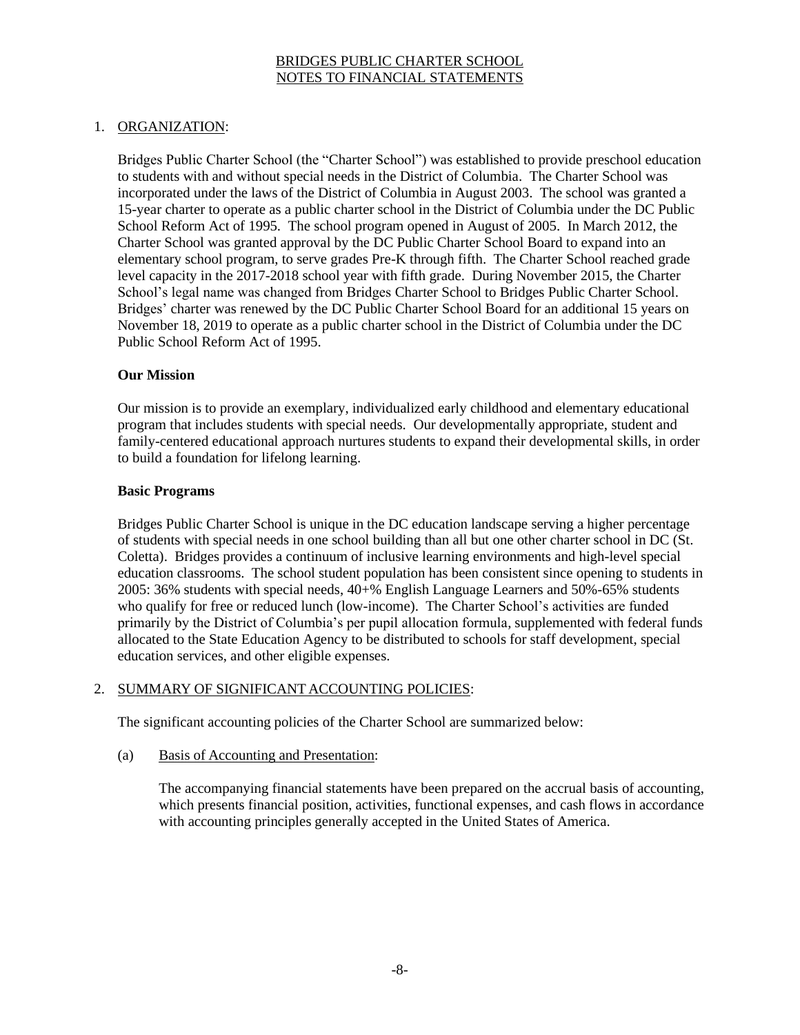# 1. ORGANIZATION:

Bridges Public Charter School (the "Charter School") was established to provide preschool education to students with and without special needs in the District of Columbia. The Charter School was incorporated under the laws of the District of Columbia in August 2003. The school was granted a 15-year charter to operate as a public charter school in the District of Columbia under the DC Public School Reform Act of 1995. The school program opened in August of 2005. In March 2012, the Charter School was granted approval by the DC Public Charter School Board to expand into an elementary school program, to serve grades Pre-K through fifth. The Charter School reached grade level capacity in the 2017-2018 school year with fifth grade. During November 2015, the Charter School's legal name was changed from Bridges Charter School to Bridges Public Charter School. Bridges' charter was renewed by the DC Public Charter School Board for an additional 15 years on November 18, 2019 to operate as a public charter school in the District of Columbia under the DC Public School Reform Act of 1995.

# **Our Mission**

Our mission is to provide an exemplary, individualized early childhood and elementary educational program that includes students with special needs. Our developmentally appropriate, student and family-centered educational approach nurtures students to expand their developmental skills, in order to build a foundation for lifelong learning.

# **Basic Programs**

Bridges Public Charter School is unique in the DC education landscape serving a higher percentage of students with special needs in one school building than all but one other charter school in DC (St. Coletta). Bridges provides a continuum of inclusive learning environments and high-level special education classrooms. The school student population has been consistent since opening to students in 2005: 36% students with special needs,  $40+\%$  English Language Learners and 50%-65% students who qualify for free or reduced lunch (low-income). The Charter School's activities are funded primarily by the District of Columbia's per pupil allocation formula, supplemented with federal funds allocated to the State Education Agency to be distributed to schools for staff development, special education services, and other eligible expenses.

# 2. SUMMARY OF SIGNIFICANT ACCOUNTING POLICIES:

The significant accounting policies of the Charter School are summarized below:

# (a) Basis of Accounting and Presentation:

The accompanying financial statements have been prepared on the accrual basis of accounting, which presents financial position, activities, functional expenses, and cash flows in accordance with accounting principles generally accepted in the United States of America.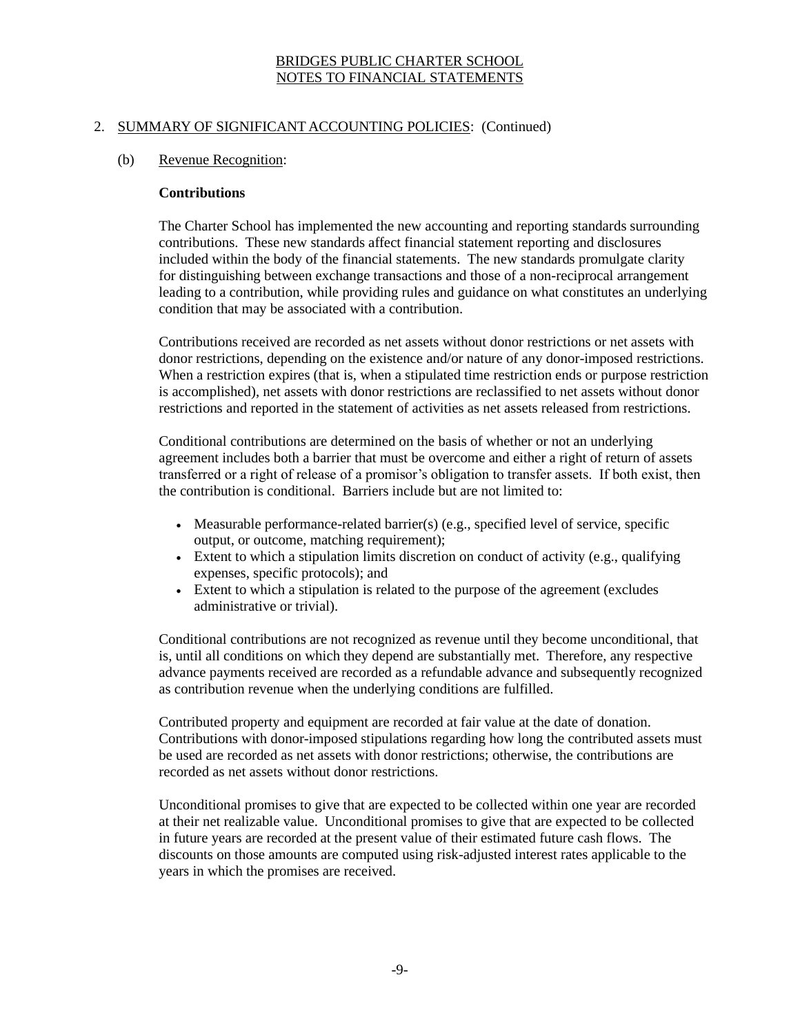# 2. SUMMARY OF SIGNIFICANT ACCOUNTING POLICIES: (Continued)

## (b) Revenue Recognition:

#### **Contributions**

The Charter School has implemented the new accounting and reporting standards surrounding contributions. These new standards affect financial statement reporting and disclosures included within the body of the financial statements. The new standards promulgate clarity for distinguishing between exchange transactions and those of a non-reciprocal arrangement leading to a contribution, while providing rules and guidance on what constitutes an underlying condition that may be associated with a contribution.

Contributions received are recorded as net assets without donor restrictions or net assets with donor restrictions, depending on the existence and/or nature of any donor-imposed restrictions. When a restriction expires (that is, when a stipulated time restriction ends or purpose restriction is accomplished), net assets with donor restrictions are reclassified to net assets without donor restrictions and reported in the statement of activities as net assets released from restrictions.

Conditional contributions are determined on the basis of whether or not an underlying agreement includes both a barrier that must be overcome and either a right of return of assets transferred or a right of release of a promisor's obligation to transfer assets. If both exist, then the contribution is conditional. Barriers include but are not limited to:

- Measurable performance-related barrier(s) (e.g., specified level of service, specific output, or outcome, matching requirement);
- Extent to which a stipulation limits discretion on conduct of activity (e.g., qualifying expenses, specific protocols); and
- Extent to which a stipulation is related to the purpose of the agreement (excludes administrative or trivial).

Conditional contributions are not recognized as revenue until they become unconditional, that is, until all conditions on which they depend are substantially met. Therefore, any respective advance payments received are recorded as a refundable advance and subsequently recognized as contribution revenue when the underlying conditions are fulfilled.

Contributed property and equipment are recorded at fair value at the date of donation. Contributions with donor-imposed stipulations regarding how long the contributed assets must be used are recorded as net assets with donor restrictions; otherwise, the contributions are recorded as net assets without donor restrictions.

Unconditional promises to give that are expected to be collected within one year are recorded at their net realizable value. Unconditional promises to give that are expected to be collected in future years are recorded at the present value of their estimated future cash flows. The discounts on those amounts are computed using risk-adjusted interest rates applicable to the years in which the promises are received.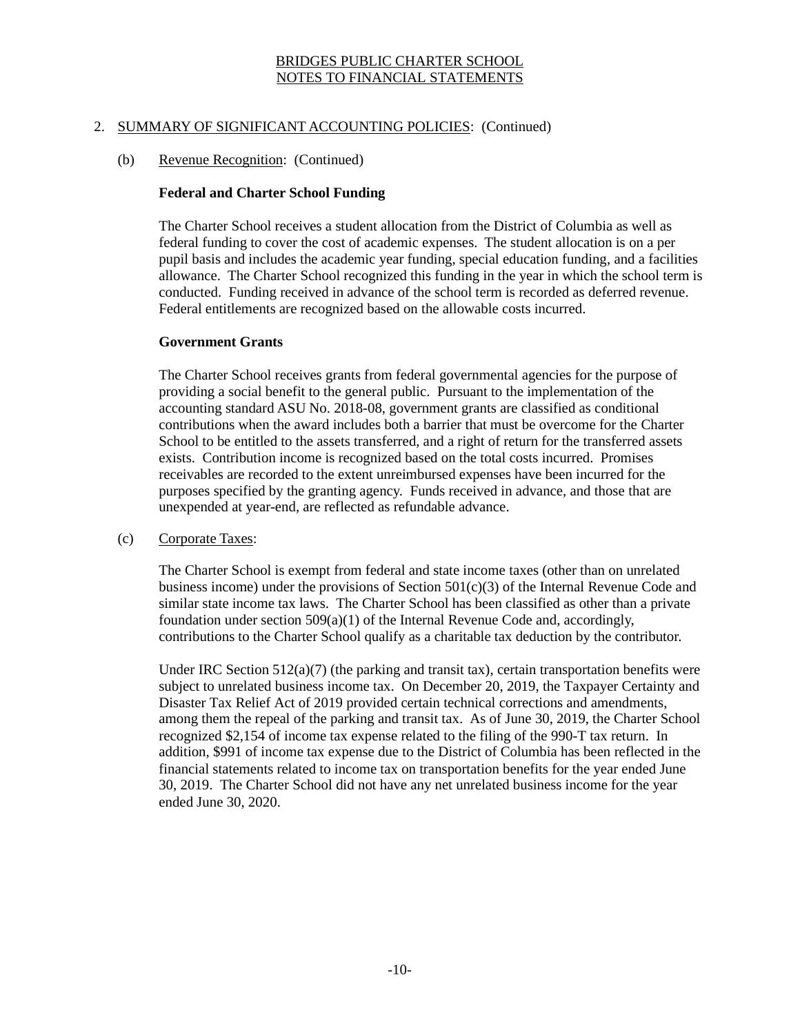# 2. SUMMARY OF SIGNIFICANT ACCOUNTING POLICIES: (Continued)

## (b) Revenue Recognition: (Continued)

## **Federal and Charter School Funding**

The Charter School receives a student allocation from the District of Columbia as well as federal funding to cover the cost of academic expenses. The student allocation is on a per pupil basis and includes the academic year funding, special education funding, and a facilities allowance. The Charter School recognized this funding in the year in which the school term is conducted. Funding received in advance of the school term is recorded as deferred revenue. Federal entitlements are recognized based on the allowable costs incurred.

#### **Government Grants**

The Charter School receives grants from federal governmental agencies for the purpose of providing a social benefit to the general public. Pursuant to the implementation of the accounting standard ASU No. 2018-08, government grants are classified as conditional contributions when the award includes both a barrier that must be overcome for the Charter School to be entitled to the assets transferred, and a right of return for the transferred assets exists. Contribution income is recognized based on the total costs incurred. Promises receivables are recorded to the extent unreimbursed expenses have been incurred for the purposes specified by the granting agency. Funds received in advance, and those that are unexpended at year-end, are reflected as refundable advance.

#### (c) Corporate Taxes:

The Charter School is exempt from federal and state income taxes (other than on unrelated business income) under the provisions of Section  $501(c)(3)$  of the Internal Revenue Code and similar state income tax laws. The Charter School has been classified as other than a private foundation under section  $509(a)(1)$  of the Internal Revenue Code and, accordingly, contributions to the Charter School qualify as a charitable tax deduction by the contributor.

Under IRC Section  $512(a)(7)$  (the parking and transit tax), certain transportation benefits were subject to unrelated business income tax. On December 20, 2019, the Taxpayer Certainty and Disaster Tax Relief Act of 2019 provided certain technical corrections and amendments, among them the repeal of the parking and transit tax. As of June 30, 2019, the Charter School recognized \$2,154 of income tax expense related to the filing of the 990-T tax return. In addition, \$991 of income tax expense due to the District of Columbia has been reflected in the financial statements related to income tax on transportation benefits for the year ended June 30, 2019. The Charter School did not have any net unrelated business income for the year ended June 30, 2020.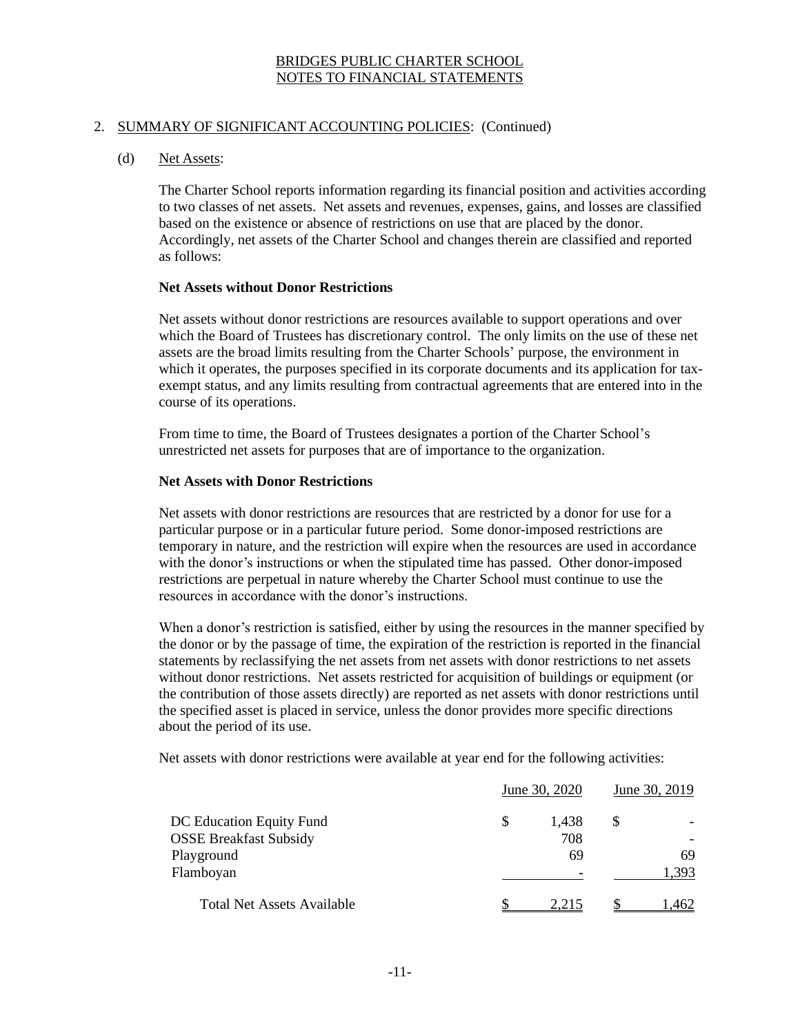# 2. SUMMARY OF SIGNIFICANT ACCOUNTING POLICIES: (Continued)

# (d) Net Assets:

The Charter School reports information regarding its financial position and activities according to two classes of net assets. Net assets and revenues, expenses, gains, and losses are classified based on the existence or absence of restrictions on use that are placed by the donor. Accordingly, net assets of the Charter School and changes therein are classified and reported as follows:

#### **Net Assets without Donor Restrictions**

Net assets without donor restrictions are resources available to support operations and over which the Board of Trustees has discretionary control. The only limits on the use of these net assets are the broad limits resulting from the Charter Schools' purpose, the environment in which it operates, the purposes specified in its corporate documents and its application for taxexempt status, and any limits resulting from contractual agreements that are entered into in the course of its operations.

From time to time, the Board of Trustees designates a portion of the Charter School's unrestricted net assets for purposes that are of importance to the organization.

## **Net Assets with Donor Restrictions**

Net assets with donor restrictions are resources that are restricted by a donor for use for a particular purpose or in a particular future period. Some donor-imposed restrictions are temporary in nature, and the restriction will expire when the resources are used in accordance with the donor's instructions or when the stipulated time has passed. Other donor-imposed restrictions are perpetual in nature whereby the Charter School must continue to use the resources in accordance with the donor's instructions.

When a donor's restriction is satisfied, either by using the resources in the manner specified by the donor or by the passage of time, the expiration of the restriction is reported in the financial statements by reclassifying the net assets from net assets with donor restrictions to net assets without donor restrictions. Net assets restricted for acquisition of buildings or equipment (or the contribution of those assets directly) are reported as net assets with donor restrictions until the specified asset is placed in service, unless the donor provides more specific directions about the period of its use.

Net assets with donor restrictions were available at year end for the following activities:

|                                   |   | June 30, 2020 |   | June 30, 2019 |
|-----------------------------------|---|---------------|---|---------------|
| DC Education Equity Fund          | S | 1.438         | S |               |
| <b>OSSE Breakfast Subsidy</b>     |   | 708           |   |               |
| Playground                        |   | 69            |   | 69            |
| Flamboyan                         |   |               |   | 1,393         |
| <b>Total Net Assets Available</b> |   | 2.215         |   | .462          |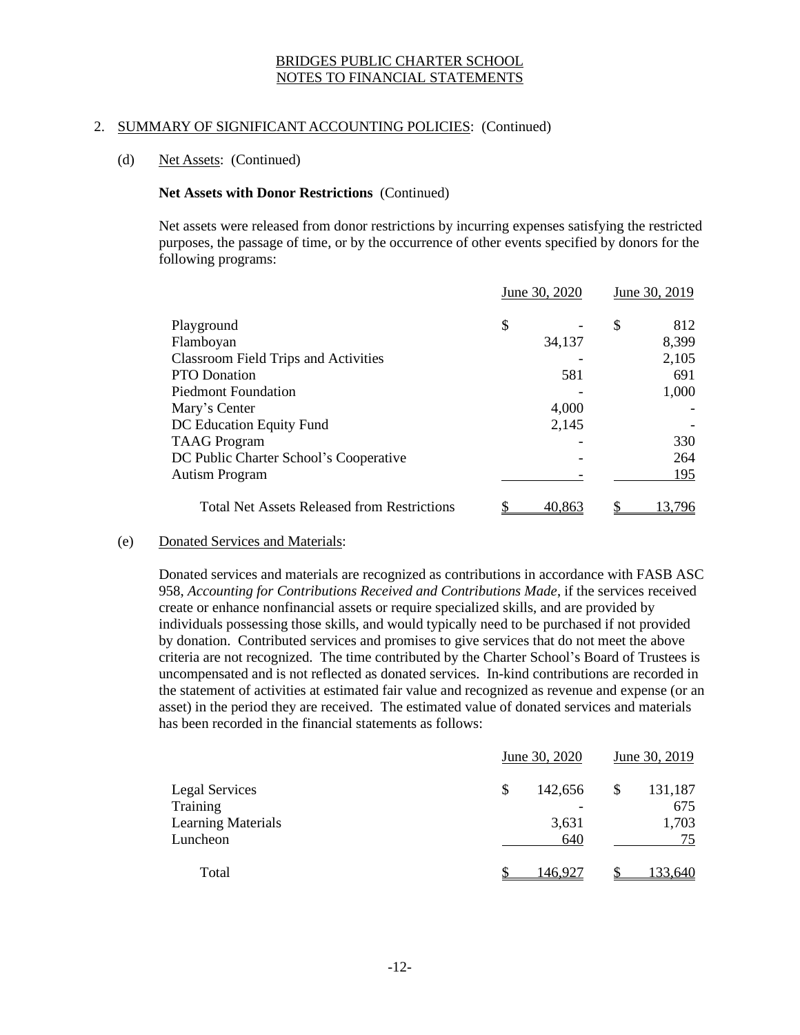# 2. SUMMARY OF SIGNIFICANT ACCOUNTING POLICIES: (Continued)

(d) Net Assets: (Continued)

#### **Net Assets with Donor Restrictions** (Continued)

Net assets were released from donor restrictions by incurring expenses satisfying the restricted purposes, the passage of time, or by the occurrence of other events specified by donors for the following programs:

|                                                    | June 30, 2020 | June 30, 2019 |
|----------------------------------------------------|---------------|---------------|
| Playground                                         | \$            | \$<br>812     |
| Flamboyan                                          | 34.137        | 8,399         |
| <b>Classroom Field Trips and Activities</b>        |               | 2,105         |
| <b>PTO</b> Donation                                | 581           | 691           |
| <b>Piedmont Foundation</b>                         |               | 1,000         |
| Mary's Center                                      | 4,000         |               |
| DC Education Equity Fund                           | 2,145         |               |
| <b>TAAG</b> Program                                |               | 330           |
| DC Public Charter School's Cooperative             |               | 264           |
| <b>Autism Program</b>                              |               | 195           |
| <b>Total Net Assets Released from Restrictions</b> | 40.863        | 13.796        |

#### (e) Donated Services and Materials:

Donated services and materials are recognized as contributions in accordance with FASB ASC 958, *Accounting for Contributions Received and Contributions Made*, if the services received create or enhance nonfinancial assets or require specialized skills, and are provided by individuals possessing those skills, and would typically need to be purchased if not provided by donation. Contributed services and promises to give services that do not meet the above criteria are not recognized. The time contributed by the Charter School's Board of Trustees is uncompensated and is not reflected as donated services. In-kind contributions are recorded in the statement of activities at estimated fair value and recognized as revenue and expense (or an asset) in the period they are received. The estimated value of donated services and materials has been recorded in the financial statements as follows:

|                           | June 30, 2020 |   | June 30, 2019 |
|---------------------------|---------------|---|---------------|
| <b>Legal Services</b>     | \$<br>142,656 | S | 131,187       |
| Training                  |               |   | 675           |
| <b>Learning Materials</b> | 3,631         |   | 1,703         |
| Luncheon                  | 640           |   | 75            |
| Total                     | 146.927       |   | 133.640       |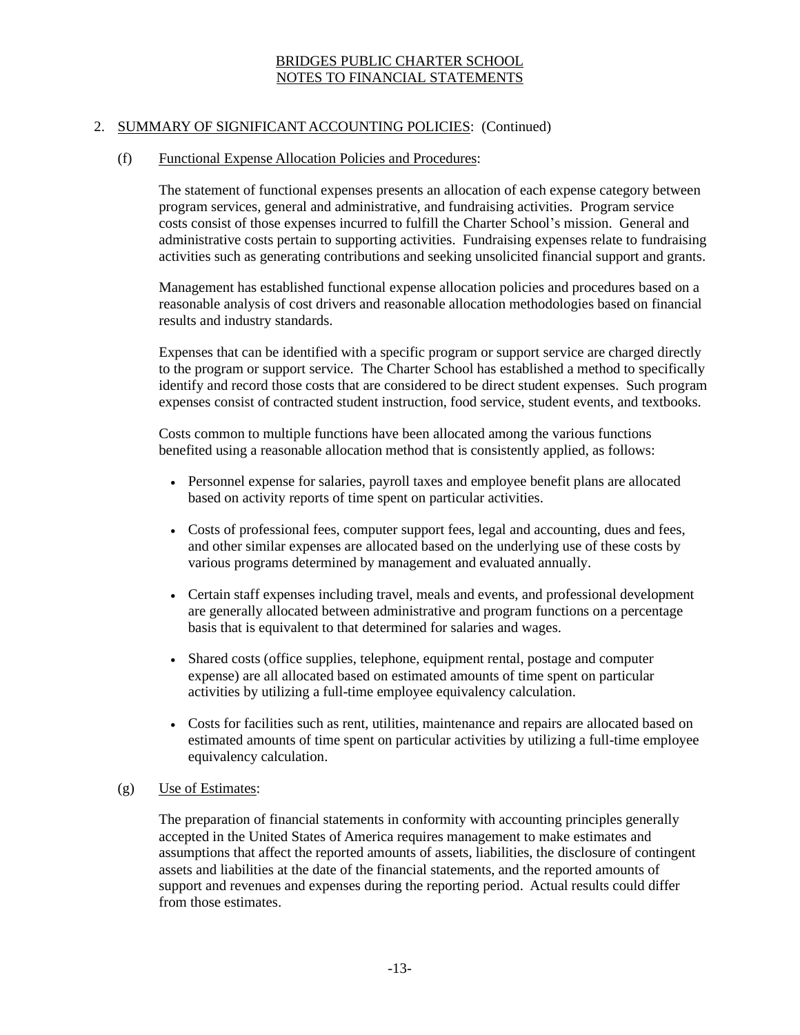# 2. SUMMARY OF SIGNIFICANT ACCOUNTING POLICIES: (Continued)

#### (f) Functional Expense Allocation Policies and Procedures:

The statement of functional expenses presents an allocation of each expense category between program services, general and administrative, and fundraising activities. Program service costs consist of those expenses incurred to fulfill the Charter School's mission. General and administrative costs pertain to supporting activities. Fundraising expenses relate to fundraising activities such as generating contributions and seeking unsolicited financial support and grants.

Management has established functional expense allocation policies and procedures based on a reasonable analysis of cost drivers and reasonable allocation methodologies based on financial results and industry standards.

Expenses that can be identified with a specific program or support service are charged directly to the program or support service. The Charter School has established a method to specifically identify and record those costs that are considered to be direct student expenses. Such program expenses consist of contracted student instruction, food service, student events, and textbooks.

Costs common to multiple functions have been allocated among the various functions benefited using a reasonable allocation method that is consistently applied, as follows:

- Personnel expense for salaries, payroll taxes and employee benefit plans are allocated based on activity reports of time spent on particular activities.
- Costs of professional fees, computer support fees, legal and accounting, dues and fees, and other similar expenses are allocated based on the underlying use of these costs by various programs determined by management and evaluated annually.
- Certain staff expenses including travel, meals and events, and professional development are generally allocated between administrative and program functions on a percentage basis that is equivalent to that determined for salaries and wages.
- Shared costs (office supplies, telephone, equipment rental, postage and computer expense) are all allocated based on estimated amounts of time spent on particular activities by utilizing a full-time employee equivalency calculation.
- Costs for facilities such as rent, utilities, maintenance and repairs are allocated based on estimated amounts of time spent on particular activities by utilizing a full-time employee equivalency calculation.

#### (g) Use of Estimates:

The preparation of financial statements in conformity with accounting principles generally accepted in the United States of America requires management to make estimates and assumptions that affect the reported amounts of assets, liabilities, the disclosure of contingent assets and liabilities at the date of the financial statements, and the reported amounts of support and revenues and expenses during the reporting period. Actual results could differ from those estimates.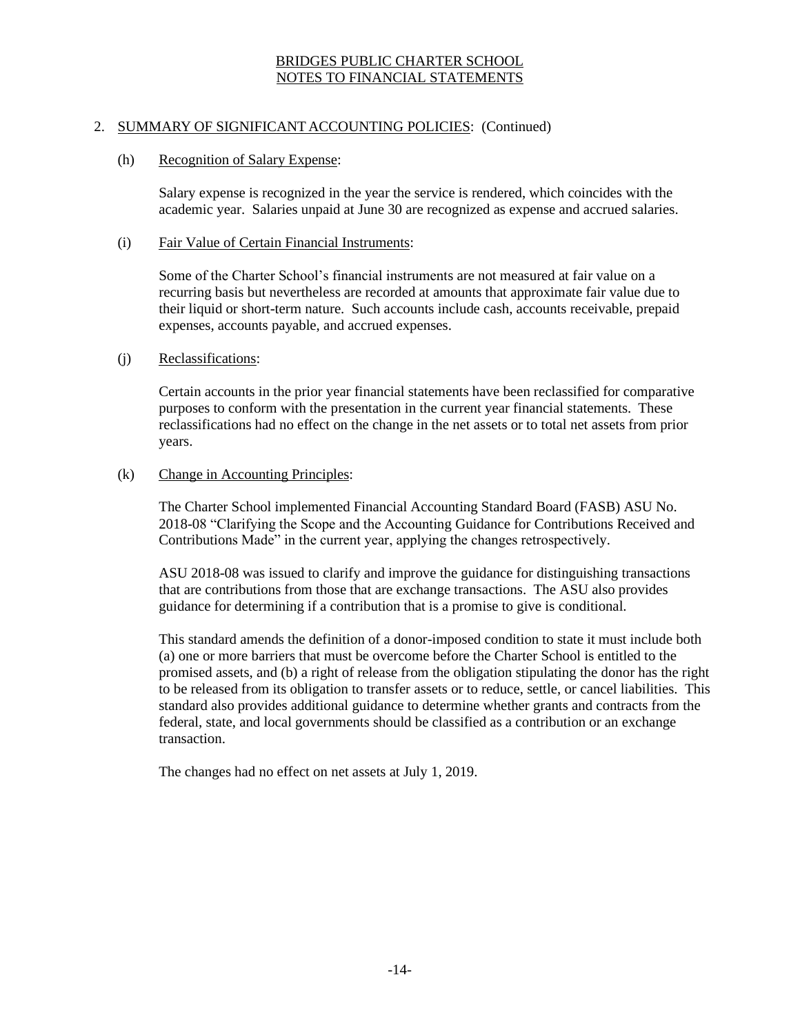# 2. SUMMARY OF SIGNIFICANT ACCOUNTING POLICIES: (Continued)

## (h) Recognition of Salary Expense:

Salary expense is recognized in the year the service is rendered, which coincides with the academic year. Salaries unpaid at June 30 are recognized as expense and accrued salaries.

#### (i) Fair Value of Certain Financial Instruments:

Some of the Charter School's financial instruments are not measured at fair value on a recurring basis but nevertheless are recorded at amounts that approximate fair value due to their liquid or short-term nature. Such accounts include cash, accounts receivable, prepaid expenses, accounts payable, and accrued expenses.

#### (j) Reclassifications:

Certain accounts in the prior year financial statements have been reclassified for comparative purposes to conform with the presentation in the current year financial statements. These reclassifications had no effect on the change in the net assets or to total net assets from prior years.

#### (k) Change in Accounting Principles:

The Charter School implemented Financial Accounting Standard Board (FASB) ASU No. 2018-08 "Clarifying the Scope and the Accounting Guidance for Contributions Received and Contributions Made" in the current year, applying the changes retrospectively.

ASU 2018-08 was issued to clarify and improve the guidance for distinguishing transactions that are contributions from those that are exchange transactions. The ASU also provides guidance for determining if a contribution that is a promise to give is conditional.

This standard amends the definition of a donor-imposed condition to state it must include both (a) one or more barriers that must be overcome before the Charter School is entitled to the promised assets, and (b) a right of release from the obligation stipulating the donor has the right to be released from its obligation to transfer assets or to reduce, settle, or cancel liabilities. This standard also provides additional guidance to determine whether grants and contracts from the federal, state, and local governments should be classified as a contribution or an exchange transaction.

The changes had no effect on net assets at July 1, 2019.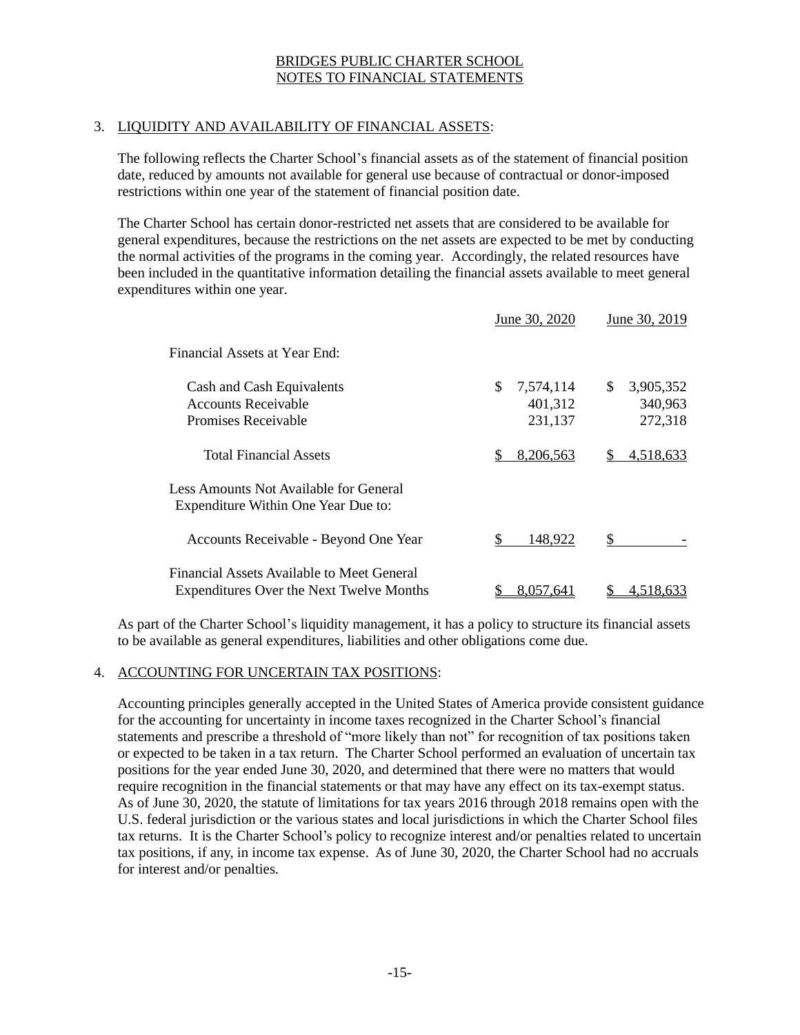# 3. LIQUIDITY AND AVAILABILITY OF FINANCIAL ASSETS:

The following reflects the Charter School's financial assets as of the statement of financial position date, reduced by amounts not available for general use because of contractual or donor-imposed restrictions within one year of the statement of financial position date.

The Charter School has certain donor-restricted net assets that are considered to be available for general expenditures, because the restrictions on the net assets are expected to be met by conducting the normal activities of the programs in the coming year. Accordingly, the related resources have been included in the quantitative information detailing the financial assets available to meet general expenditures within one year.

|                                                                                               | June 30, 2020                         | June 30, 2019                         |
|-----------------------------------------------------------------------------------------------|---------------------------------------|---------------------------------------|
| Financial Assets at Year End:                                                                 |                                       |                                       |
| Cash and Cash Equivalents<br><b>Accounts Receivable</b><br>Promises Receivable                | \$<br>7,574,114<br>401,312<br>231,137 | \$<br>3,905,352<br>340,963<br>272,318 |
| <b>Total Financial Assets</b>                                                                 | 8,206,563<br>S.                       | 4,518,633<br>S.                       |
| Less Amounts Not Available for General<br>Expenditure Within One Year Due to:                 |                                       |                                       |
| Accounts Receivable - Beyond One Year                                                         | 148,922<br>S                          | \$                                    |
| Financial Assets Available to Meet General<br><b>Expenditures Over the Next Twelve Months</b> | 8.057.641                             | 4.518.633                             |

As part of the Charter School's liquidity management, it has a policy to structure its financial assets to be available as general expenditures, liabilities and other obligations come due.

# 4. ACCOUNTING FOR UNCERTAIN TAX POSITIONS:

Accounting principles generally accepted in the United States of America provide consistent guidance for the accounting for uncertainty in income taxes recognized in the Charter School's financial statements and prescribe a threshold of "more likely than not" for recognition of tax positions taken or expected to be taken in a tax return. The Charter School performed an evaluation of uncertain tax positions for the year ended June 30, 2020, and determined that there were no matters that would require recognition in the financial statements or that may have any effect on its tax-exempt status. As of June 30, 2020, the statute of limitations for tax years 2016 through 2018 remains open with the U.S. federal jurisdiction or the various states and local jurisdictions in which the Charter School files tax returns. It is the Charter School's policy to recognize interest and/or penalties related to uncertain tax positions, if any, in income tax expense. As of June 30, 2020, the Charter School had no accruals for interest and/or penalties.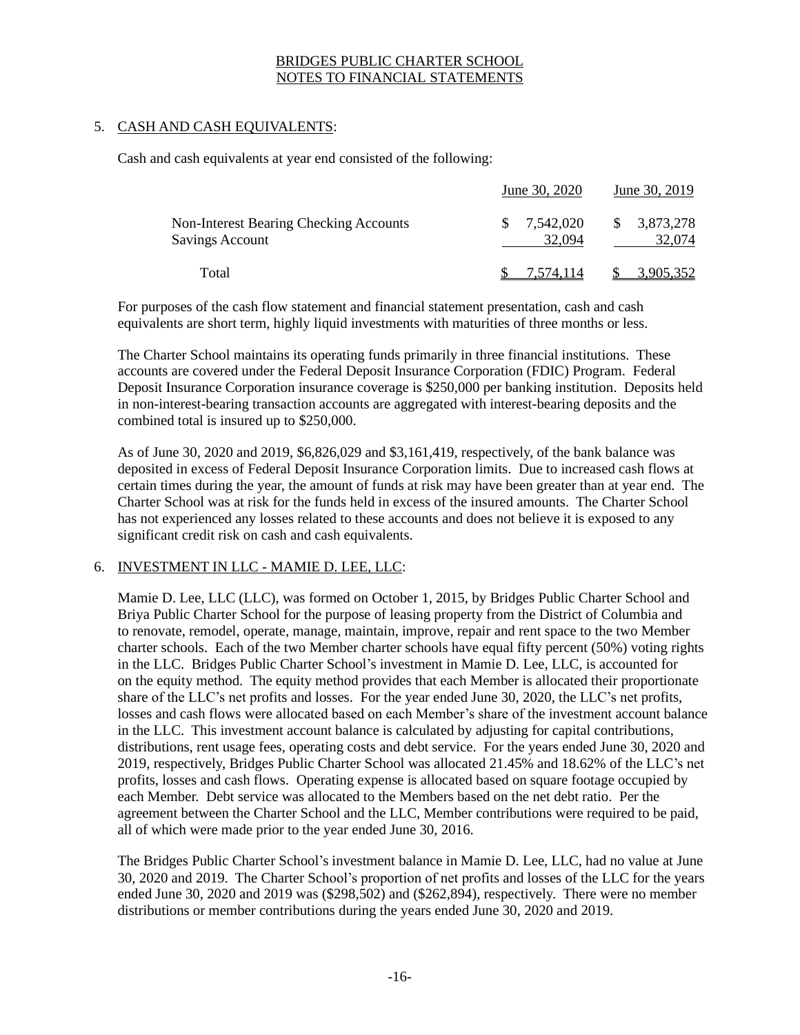# 5. CASH AND CASH EQUIVALENTS:

Cash and cash equivalents at year end consisted of the following:

|                                                                  | June 30, 2020       | June 30, 2019         |
|------------------------------------------------------------------|---------------------|-----------------------|
| Non-Interest Bearing Checking Accounts<br><b>Savings Account</b> | 7.542.020<br>32,094 | \$3,873,278<br>32,074 |
| Total                                                            | 7.574.114           | 3.905.352             |

For purposes of the cash flow statement and financial statement presentation, cash and cash equivalents are short term, highly liquid investments with maturities of three months or less.

The Charter School maintains its operating funds primarily in three financial institutions. These accounts are covered under the Federal Deposit Insurance Corporation (FDIC) Program. Federal Deposit Insurance Corporation insurance coverage is \$250,000 per banking institution. Deposits held in non-interest-bearing transaction accounts are aggregated with interest-bearing deposits and the combined total is insured up to \$250,000.

As of June 30, 2020 and 2019, \$6,826,029 and \$3,161,419, respectively, of the bank balance was deposited in excess of Federal Deposit Insurance Corporation limits. Due to increased cash flows at certain times during the year, the amount of funds at risk may have been greater than at year end. The Charter School was at risk for the funds held in excess of the insured amounts. The Charter School has not experienced any losses related to these accounts and does not believe it is exposed to any significant credit risk on cash and cash equivalents.

# 6. INVESTMENT IN LLC - MAMIE D. LEE, LLC:

Mamie D. Lee, LLC (LLC), was formed on October 1, 2015, by Bridges Public Charter School and Briya Public Charter School for the purpose of leasing property from the District of Columbia and to renovate, remodel, operate, manage, maintain, improve, repair and rent space to the two Member charter schools. Each of the two Member charter schools have equal fifty percent (50%) voting rights in the LLC. Bridges Public Charter School's investment in Mamie D. Lee, LLC, is accounted for on the equity method. The equity method provides that each Member is allocated their proportionate share of the LLC's net profits and losses. For the year ended June 30, 2020, the LLC's net profits, losses and cash flows were allocated based on each Member's share of the investment account balance in the LLC. This investment account balance is calculated by adjusting for capital contributions, distributions, rent usage fees, operating costs and debt service. For the years ended June 30, 2020 and 2019, respectively, Bridges Public Charter School was allocated 21.45% and 18.62% of the LLC's net profits, losses and cash flows. Operating expense is allocated based on square footage occupied by each Member. Debt service was allocated to the Members based on the net debt ratio. Per the agreement between the Charter School and the LLC, Member contributions were required to be paid, all of which were made prior to the year ended June 30, 2016.

The Bridges Public Charter School's investment balance in Mamie D. Lee, LLC, had no value at June 30, 2020 and 2019. The Charter School's proportion of net profits and losses of the LLC for the years ended June 30, 2020 and 2019 was (\$298,502) and (\$262,894), respectively. There were no member distributions or member contributions during the years ended June 30, 2020 and 2019.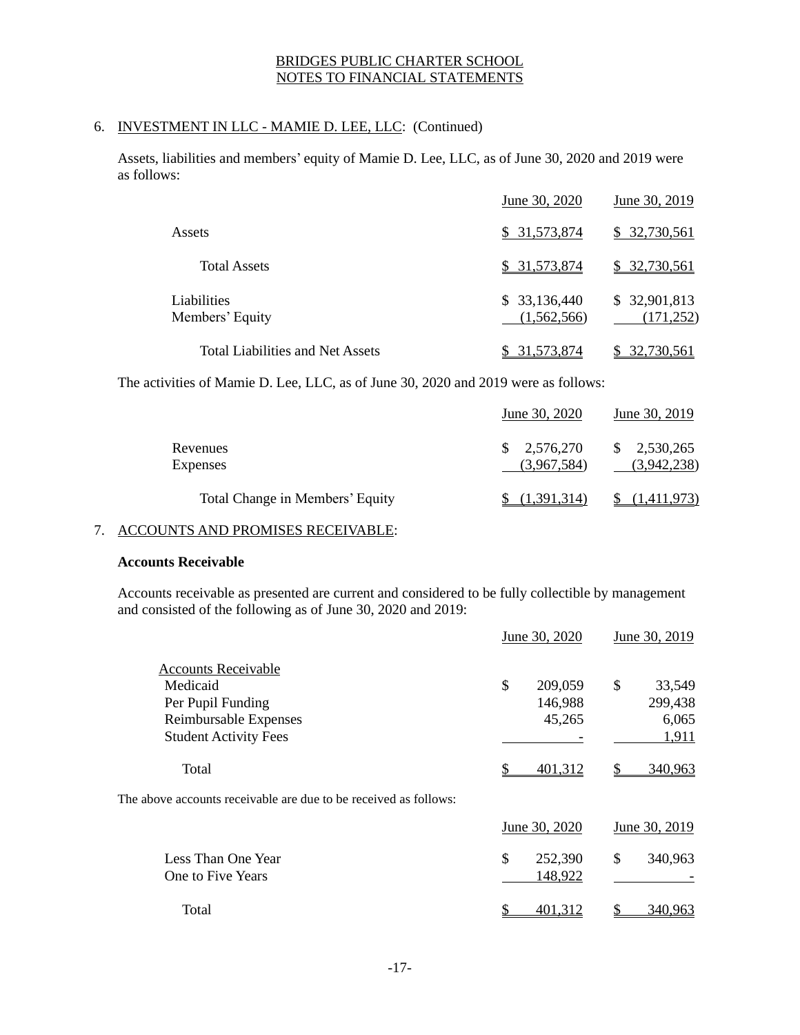# 6. INVESTMENT IN LLC - MAMIE D. LEE, LLC: (Continued)

Assets, liabilities and members' equity of Mamie D. Lee, LLC, as of June 30, 2020 and 2019 were as follows:

|                                         | June 30, 2020               | June 30, 2019              |
|-----------------------------------------|-----------------------------|----------------------------|
| Assets                                  | \$ 31,573,874               | \$32,730,561               |
| <b>Total Assets</b>                     | \$31,573,874                | \$32,730,561               |
| Liabilities<br>Members' Equity          | \$33,136,440<br>(1,562,566) | \$32,901,813<br>(171, 252) |
| <b>Total Liabilities and Net Assets</b> | 31,573,874                  | 32,730,561                 |

The activities of Mamie D. Lee, LLC, as of June 30, 2020 and 2019 were as follows:

|                                 | June 30, 2020            | <u>June 30, 2019</u>                 |
|---------------------------------|--------------------------|--------------------------------------|
| Revenues<br>Expenses            | 2,576,270<br>(3.967.584) | $\frac{$}{2,530,265}$<br>(3,942,238) |
| Total Change in Members' Equity | (1,391,314)              | (1,411,973)                          |

# 7. ACCOUNTS AND PROMISES RECEIVABLE:

#### **Accounts Receivable**

Accounts receivable as presented are current and considered to be fully collectible by management and consisted of the following as of June 30, 2020 and 2019:

|                                                                  | June 30, 2020 | June 30, 2019 |
|------------------------------------------------------------------|---------------|---------------|
| <b>Accounts Receivable</b>                                       |               |               |
| Medicaid                                                         | \$<br>209,059 | \$<br>33,549  |
| Per Pupil Funding                                                | 146,988       | 299,438       |
| Reimbursable Expenses                                            | 45,265        | 6,065         |
| <b>Student Activity Fees</b>                                     |               | 1,911         |
| Total                                                            | 401,312       | 340,963       |
| The above accounts receivable are due to be received as follows: |               |               |
|                                                                  | June 30, 2020 | June 30, 2019 |
| Less Than One Year                                               | \$<br>252,390 | \$<br>340,963 |
| One to Five Years                                                | 148,922       |               |
| Total                                                            | 401.312       | 340.963       |
|                                                                  |               |               |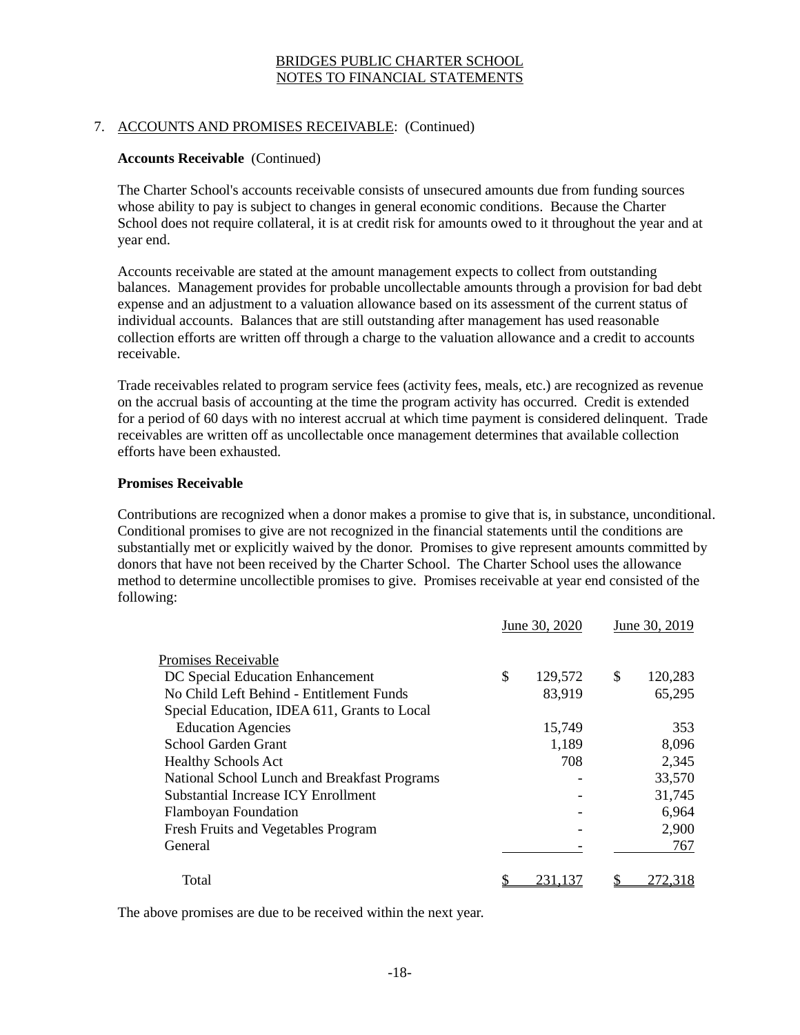# 7. ACCOUNTS AND PROMISES RECEIVABLE: (Continued)

# **Accounts Receivable** (Continued)

The Charter School's accounts receivable consists of unsecured amounts due from funding sources whose ability to pay is subject to changes in general economic conditions. Because the Charter School does not require collateral, it is at credit risk for amounts owed to it throughout the year and at year end.

Accounts receivable are stated at the amount management expects to collect from outstanding balances. Management provides for probable uncollectable amounts through a provision for bad debt expense and an adjustment to a valuation allowance based on its assessment of the current status of individual accounts. Balances that are still outstanding after management has used reasonable collection efforts are written off through a charge to the valuation allowance and a credit to accounts receivable.

Trade receivables related to program service fees (activity fees, meals, etc.) are recognized as revenue on the accrual basis of accounting at the time the program activity has occurred. Credit is extended for a period of 60 days with no interest accrual at which time payment is considered delinquent. Trade receivables are written off as uncollectable once management determines that available collection efforts have been exhausted.

# **Promises Receivable**

Contributions are recognized when a donor makes a promise to give that is, in substance, unconditional. Conditional promises to give are not recognized in the financial statements until the conditions are substantially met or explicitly waived by the donor. Promises to give represent amounts committed by donors that have not been received by the Charter School. The Charter School uses the allowance method to determine uncollectible promises to give. Promises receivable at year end consisted of the following:

|                                              | June 30, 2020 | June 30, 2019 |
|----------------------------------------------|---------------|---------------|
| Promises Receivable                          |               |               |
| DC Special Education Enhancement             | \$<br>129,572 | \$<br>120,283 |
| No Child Left Behind - Entitlement Funds     | 83,919        | 65,295        |
| Special Education, IDEA 611, Grants to Local |               |               |
| <b>Education Agencies</b>                    | 15,749        | 353           |
| School Garden Grant                          | 1,189         | 8,096         |
| <b>Healthy Schools Act</b>                   | 708           | 2,345         |
| National School Lunch and Breakfast Programs |               | 33,570        |
| <b>Substantial Increase ICY Enrollment</b>   |               | 31,745        |
| Flamboyan Foundation                         |               | 6,964         |
| Fresh Fruits and Vegetables Program          |               | 2,900         |
| General                                      |               | 767           |
| Total                                        |               |               |

The above promises are due to be received within the next year.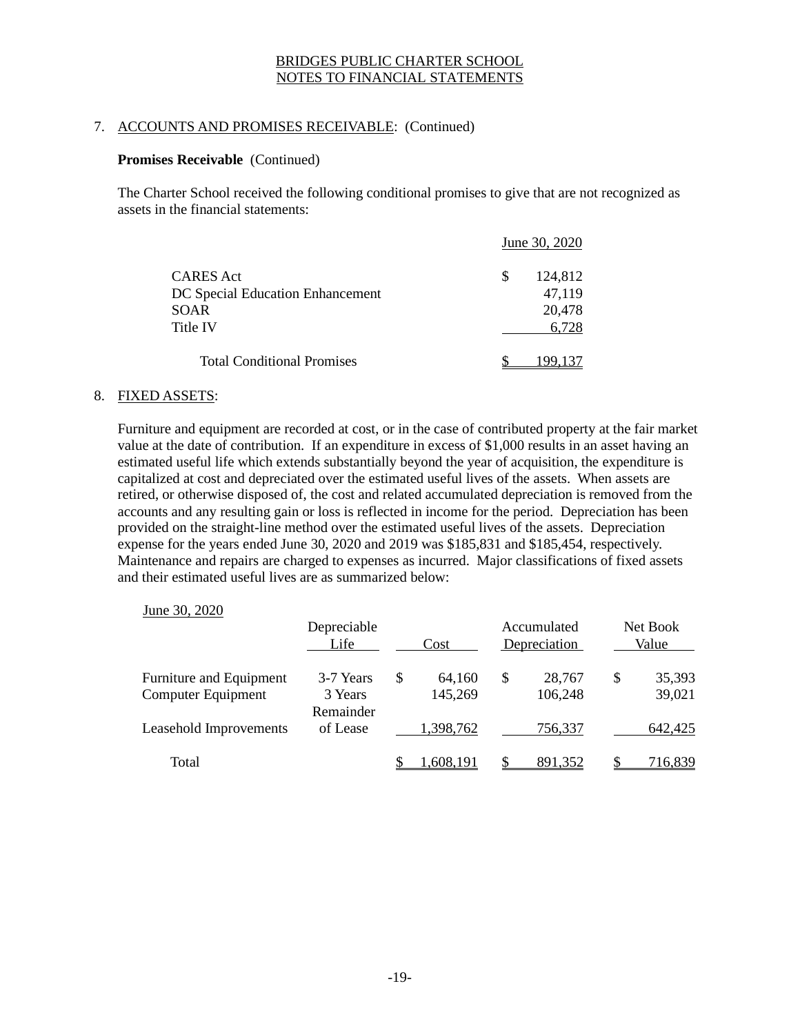# 7. ACCOUNTS AND PROMISES RECEIVABLE: (Continued)

#### **Promises Receivable** (Continued)

The Charter School received the following conditional promises to give that are not recognized as assets in the financial statements:

|                                   |   | June 30, 2020 |
|-----------------------------------|---|---------------|
| CARES Act                         | S | 124,812       |
| DC Special Education Enhancement  |   | 47,119        |
| SOAR                              |   | 20,478        |
| Title IV                          |   | 6.728         |
| <b>Total Conditional Promises</b> |   |               |

# 8. FIXED ASSETS:

Furniture and equipment are recorded at cost, or in the case of contributed property at the fair market value at the date of contribution. If an expenditure in excess of \$1,000 results in an asset having an estimated useful life which extends substantially beyond the year of acquisition, the expenditure is capitalized at cost and depreciated over the estimated useful lives of the assets. When assets are retired, or otherwise disposed of, the cost and related accumulated depreciation is removed from the accounts and any resulting gain or loss is reflected in income for the period. Depreciation has been provided on the straight-line method over the estimated useful lives of the assets. Depreciation expense for the years ended June 30, 2020 and 2019 was \$185,831 and \$185,454, respectively. Maintenance and repairs are charged to expenses as incurred. Major classifications of fixed assets and their estimated useful lives are as summarized below:

## June 30, 2020

|                         | Depreciable<br>Life  |   | Cost      |   | Accumulated<br>Depreciation | Net Book<br>Value |
|-------------------------|----------------------|---|-----------|---|-----------------------------|-------------------|
| Furniture and Equipment | 3-7 Years            | S | 64,160    | S | 28,767                      | \$<br>35,393      |
| Computer Equipment      | 3 Years<br>Remainder |   | 145,269   |   | 106,248                     | 39,021            |
| Leasehold Improvements  | of Lease             |   | 1,398,762 |   | 756.337                     | 642,425           |
| Total                   |                      |   | .608.191  |   | <u>891,352</u>              | 716,839           |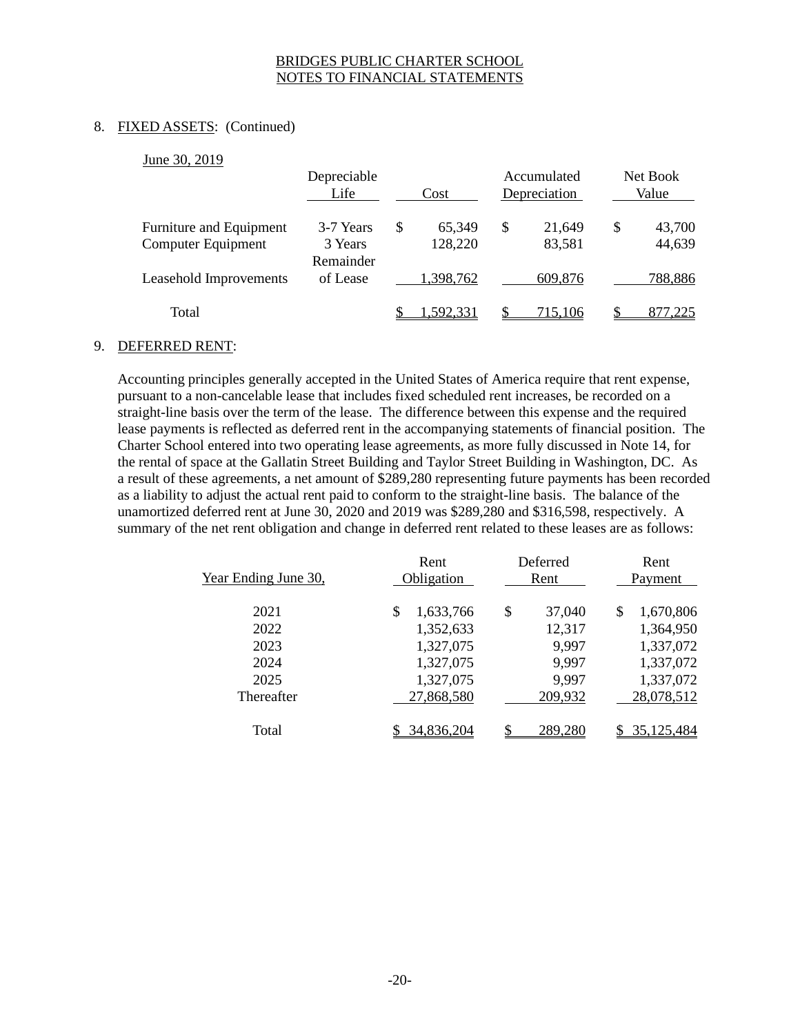# 8. FIXED ASSETS: (Continued)

# June 30, 2019

|                         | Depreciable<br>Life |   | Cost      |   | Accumulated<br>Depreciation | Net Book<br>Value |
|-------------------------|---------------------|---|-----------|---|-----------------------------|-------------------|
| Furniture and Equipment | 3-7 Years           | S | 65,349    | S | 21,649                      | \$<br>43,700      |
| Computer Equipment      | 3 Years             |   | 128,220   |   | 83,581                      | 44,639            |
|                         | Remainder           |   |           |   |                             |                   |
| Leasehold Improvements  | of Lease            |   | 1,398,762 |   | 609.876                     | 788,886           |
| Total                   |                     |   | 1.592.331 |   | 715.106                     | 7.225             |

#### 9. DEFERRED RENT:

Accounting principles generally accepted in the United States of America require that rent expense, pursuant to a non-cancelable lease that includes fixed scheduled rent increases, be recorded on a straight-line basis over the term of the lease. The difference between this expense and the required lease payments is reflected as deferred rent in the accompanying statements of financial position. The Charter School entered into two operating lease agreements, as more fully discussed in Note 14, for the rental of space at the Gallatin Street Building and Taylor Street Building in Washington, DC. As a result of these agreements, a net amount of \$289,280 representing future payments has been recorded as a liability to adjust the actual rent paid to conform to the straight-line basis. The balance of the unamortized deferred rent at June 30, 2020 and 2019 was \$289,280 and \$316,598, respectively. A summary of the net rent obligation and change in deferred rent related to these leases are as follows:

| Year Ending June 30, | Deferred<br>Rent<br>Obligation<br>Rent |              | Rent<br><u>Payment</u> |  |  |
|----------------------|----------------------------------------|--------------|------------------------|--|--|
|                      |                                        |              |                        |  |  |
| 2021                 | \$<br>1,633,766                        | \$<br>37,040 | 1,670,806<br>S         |  |  |
| 2022                 | 1,352,633                              | 12,317       | 1,364,950              |  |  |
| 2023                 | 1,327,075                              | 9,997        | 1,337,072              |  |  |
| 2024                 | 1,327,075                              | 9,997        | 1,337,072              |  |  |
| 2025                 | 1,327,075                              | 9,997        | 1,337,072              |  |  |
| Thereafter           | 27,868,580                             | 209,932      | 28,078,512             |  |  |
| Total                | 34,836,204                             | ¢<br>289,280 | 35,125,484             |  |  |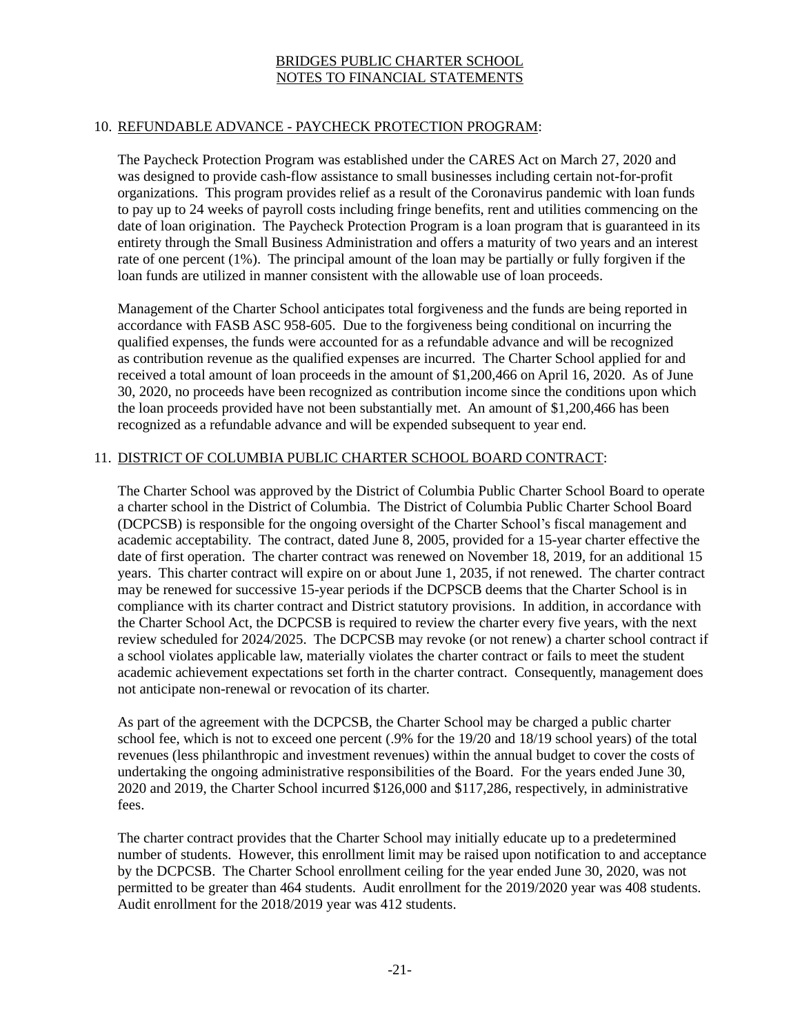## 10. REFUNDABLE ADVANCE - PAYCHECK PROTECTION PROGRAM:

The Paycheck Protection Program was established under the CARES Act on March 27, 2020 and was designed to provide cash-flow assistance to small businesses including certain not-for-profit organizations. This program provides relief as a result of the Coronavirus pandemic with loan funds to pay up to 24 weeks of payroll costs including fringe benefits, rent and utilities commencing on the date of loan origination. The Paycheck Protection Program is a loan program that is guaranteed in its entirety through the Small Business Administration and offers a maturity of two years and an interest rate of one percent (1%). The principal amount of the loan may be partially or fully forgiven if the loan funds are utilized in manner consistent with the allowable use of loan proceeds.

Management of the Charter School anticipates total forgiveness and the funds are being reported in accordance with FASB ASC 958-605. Due to the forgiveness being conditional on incurring the qualified expenses, the funds were accounted for as a refundable advance and will be recognized as contribution revenue as the qualified expenses are incurred. The Charter School applied for and received a total amount of loan proceeds in the amount of \$1,200,466 on April 16, 2020. As of June 30, 2020, no proceeds have been recognized as contribution income since the conditions upon which the loan proceeds provided have not been substantially met. An amount of \$1,200,466 has been recognized as a refundable advance and will be expended subsequent to year end.

## 11. DISTRICT OF COLUMBIA PUBLIC CHARTER SCHOOL BOARD CONTRACT:

The Charter School was approved by the District of Columbia Public Charter School Board to operate a charter school in the District of Columbia. The District of Columbia Public Charter School Board (DCPCSB) is responsible for the ongoing oversight of the Charter School's fiscal management and academic acceptability. The contract, dated June 8, 2005, provided for a 15-year charter effective the date of first operation. The charter contract was renewed on November 18, 2019, for an additional 15 years. This charter contract will expire on or about June 1, 2035, if not renewed. The charter contract may be renewed for successive 15-year periods if the DCPSCB deems that the Charter School is in compliance with its charter contract and District statutory provisions. In addition, in accordance with the Charter School Act, the DCPCSB is required to review the charter every five years, with the next review scheduled for 2024/2025. The DCPCSB may revoke (or not renew) a charter school contract if a school violates applicable law, materially violates the charter contract or fails to meet the student academic achievement expectations set forth in the charter contract. Consequently, management does not anticipate non-renewal or revocation of its charter.

As part of the agreement with the DCPCSB, the Charter School may be charged a public charter school fee, which is not to exceed one percent (.9% for the 19/20 and 18/19 school years) of the total revenues (less philanthropic and investment revenues) within the annual budget to cover the costs of undertaking the ongoing administrative responsibilities of the Board. For the years ended June 30, 2020 and 2019, the Charter School incurred \$126,000 and \$117,286, respectively, in administrative fees.

The charter contract provides that the Charter School may initially educate up to a predetermined number of students. However, this enrollment limit may be raised upon notification to and acceptance by the DCPCSB. The Charter School enrollment ceiling for the year ended June 30, 2020, was not permitted to be greater than 464 students. Audit enrollment for the 2019/2020 year was 408 students. Audit enrollment for the 2018/2019 year was 412 students.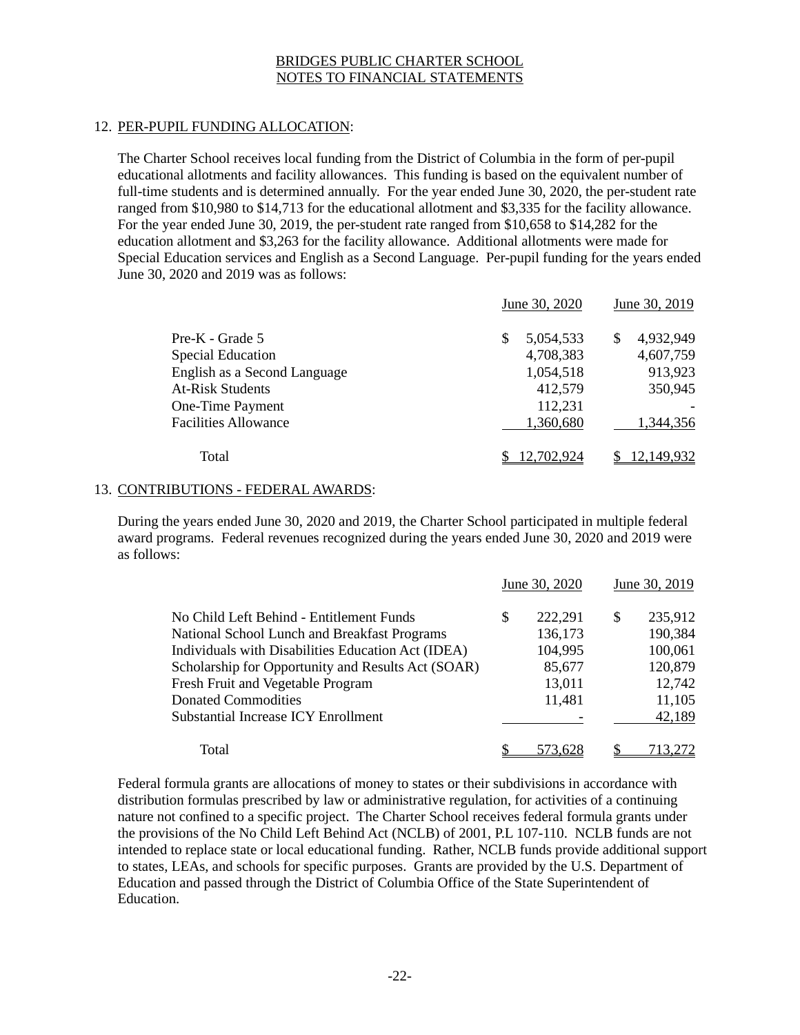## 12. PER-PUPIL FUNDING ALLOCATION:

The Charter School receives local funding from the District of Columbia in the form of per-pupil educational allotments and facility allowances. This funding is based on the equivalent number of full-time students and is determined annually. For the year ended June 30, 2020, the per-student rate ranged from \$10,980 to \$14,713 for the educational allotment and \$3,335 for the facility allowance. For the year ended June 30, 2019, the per-student rate ranged from \$10,658 to \$14,282 for the education allotment and \$3,263 for the facility allowance. Additional allotments were made for Special Education services and English as a Second Language. Per-pupil funding for the years ended June 30, 2020 and 2019 was as follows:

|                              | June 30, 2020  | June 30, 2019    |
|------------------------------|----------------|------------------|
| Pre-K - Grade 5              | S<br>5,054,533 | 4,932,949<br>\$. |
| <b>Special Education</b>     | 4,708,383      | 4,607,759        |
| English as a Second Language | 1,054,518      | 913,923          |
| <b>At-Risk Students</b>      | 412,579        | 350,945          |
| One-Time Payment             | 112,231        |                  |
| <b>Facilities Allowance</b>  | 1,360,680      | 1,344,356        |
| Total                        | 12.702.924     | 12.149.932       |

# 13. CONTRIBUTIONS - FEDERAL AWARDS:

During the years ended June 30, 2020 and 2019, the Charter School participated in multiple federal award programs. Federal revenues recognized during the years ended June 30, 2020 and 2019 were as follows:

|                                                    |   | June 30, 2020 | June 30, 2019 |
|----------------------------------------------------|---|---------------|---------------|
| No Child Left Behind - Entitlement Funds           | S | 222,291       | \$<br>235,912 |
| National School Lunch and Breakfast Programs       |   | 136,173       | 190,384       |
| Individuals with Disabilities Education Act (IDEA) |   | 104,995       | 100,061       |
| Scholarship for Opportunity and Results Act (SOAR) |   | 85,677        | 120,879       |
| Fresh Fruit and Vegetable Program                  |   | 13,011        | 12,742        |
| Donated Commodities                                |   | 11,481        | 11,105        |
| <b>Substantial Increase ICY Enrollment</b>         |   |               | 42,189        |
| Total                                              |   | 573.628       | 713,272       |

Federal formula grants are allocations of money to states or their subdivisions in accordance with distribution formulas prescribed by law or administrative regulation, for activities of a continuing nature not confined to a specific project. The Charter School receives federal formula grants under the provisions of the No Child Left Behind Act (NCLB) of 2001, P.L 107-110. NCLB funds are not intended to replace state or local educational funding. Rather, NCLB funds provide additional support to states, LEAs, and schools for specific purposes. Grants are provided by the U.S. Department of Education and passed through the District of Columbia Office of the State Superintendent of Education.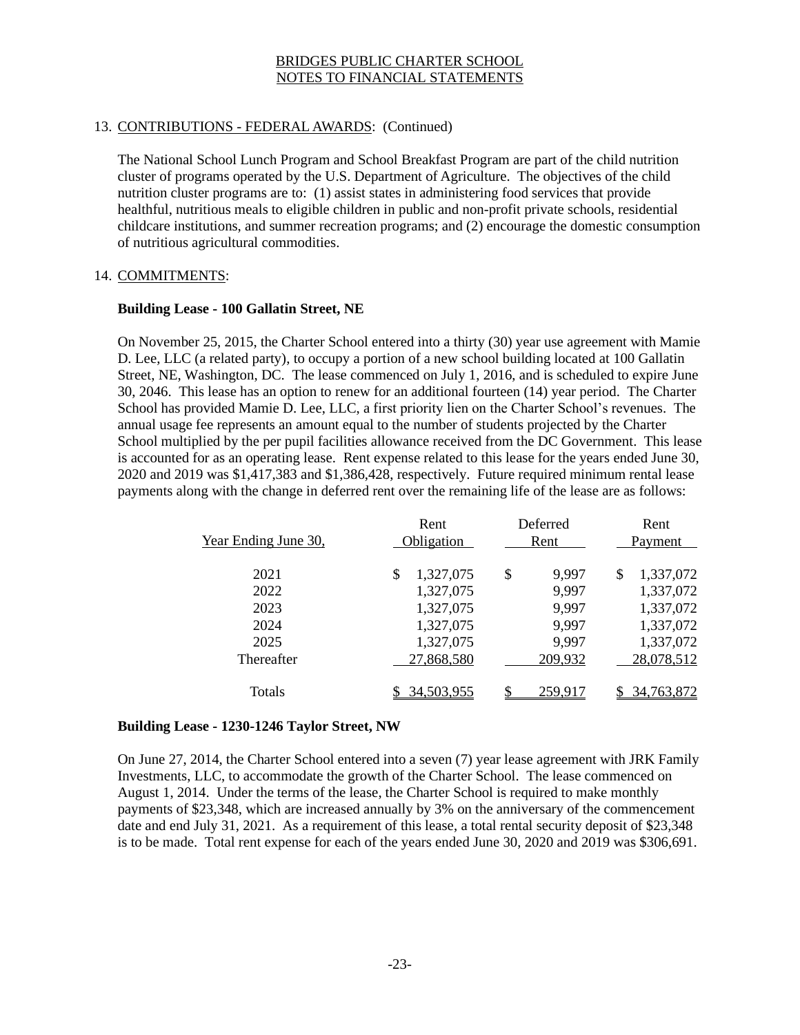# 13. CONTRIBUTIONS - FEDERAL AWARDS: (Continued)

The National School Lunch Program and School Breakfast Program are part of the child nutrition cluster of programs operated by the U.S. Department of Agriculture. The objectives of the child nutrition cluster programs are to: (1) assist states in administering food services that provide healthful, nutritious meals to eligible children in public and non-profit private schools, residential childcare institutions, and summer recreation programs; and (2) encourage the domestic consumption of nutritious agricultural commodities.

#### 14. COMMITMENTS:

#### **Building Lease - 100 Gallatin Street, NE**

On November 25, 2015, the Charter School entered into a thirty (30) year use agreement with Mamie D. Lee, LLC (a related party), to occupy a portion of a new school building located at 100 Gallatin Street, NE, Washington, DC. The lease commenced on July 1, 2016, and is scheduled to expire June 30, 2046. This lease has an option to renew for an additional fourteen (14) year period. The Charter School has provided Mamie D. Lee, LLC, a first priority lien on the Charter School's revenues. The annual usage fee represents an amount equal to the number of students projected by the Charter School multiplied by the per pupil facilities allowance received from the DC Government. This lease is accounted for as an operating lease. Rent expense related to this lease for the years ended June 30, 2020 and 2019 was \$1,417,383 and \$1,386,428, respectively. Future required minimum rental lease payments along with the change in deferred rent over the remaining life of the lease are as follows:

|                      | Rent            | Deferred    | Rent           |  |  |
|----------------------|-----------------|-------------|----------------|--|--|
| Year Ending June 30, | Obligation      | Rent        | Payment        |  |  |
| 2021                 | 1,327,075<br>\$ | \$<br>9,997 | 1,337,072<br>S |  |  |
| 2022                 | 1,327,075       | 9,997       | 1,337,072      |  |  |
| 2023                 | 1,327,075       | 9,997       | 1,337,072      |  |  |
| 2024                 | 1,327,075       | 9,997       | 1,337,072      |  |  |
| 2025                 | 1,327,075       | 9,997       | 1,337,072      |  |  |
| Thereafter           | 27,868,580      | 209,932     | 28,078,512     |  |  |
| Totals               | 34,503,955      | 259.9       | 34,763,872     |  |  |

# **Building Lease - 1230-1246 Taylor Street, NW**

On June 27, 2014, the Charter School entered into a seven (7) year lease agreement with JRK Family Investments, LLC, to accommodate the growth of the Charter School. The lease commenced on August 1, 2014. Under the terms of the lease, the Charter School is required to make monthly payments of \$23,348, which are increased annually by 3% on the anniversary of the commencement date and end July 31, 2021. As a requirement of this lease, a total rental security deposit of \$23,348 is to be made. Total rent expense for each of the years ended June 30, 2020 and 2019 was \$306,691.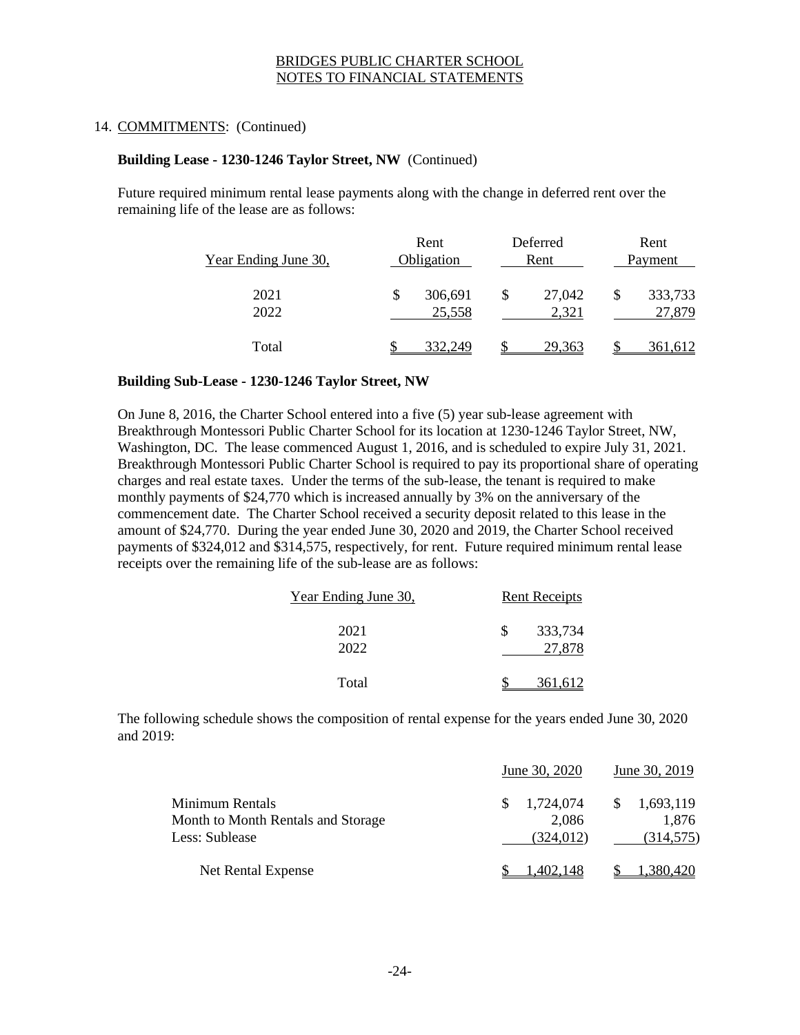# 14. COMMITMENTS: (Continued)

# **Building Lease - 1230-1246 Taylor Street, NW** (Continued)

Future required minimum rental lease payments along with the change in deferred rent over the remaining life of the lease are as follows:

| <u>Year Ending June 30,</u> | Rent<br>Obligation |                   |   | Deferred<br>Rent | Rent<br>Payment   |
|-----------------------------|--------------------|-------------------|---|------------------|-------------------|
| 2021<br>2022                | S                  | 306,691<br>25,558 | S | 27,042<br>2,321  | 333,733<br>27,879 |
| Total                       |                    | 249               |   | <u>29,363</u>    | 361.612           |

# **Building Sub-Lease - 1230-1246 Taylor Street, NW**

On June 8, 2016, the Charter School entered into a five (5) year sub-lease agreement with Breakthrough Montessori Public Charter School for its location at 1230-1246 Taylor Street, NW, Washington, DC. The lease commenced August 1, 2016, and is scheduled to expire July 31, 2021. Breakthrough Montessori Public Charter School is required to pay its proportional share of operating charges and real estate taxes. Under the terms of the sub-lease, the tenant is required to make monthly payments of \$24,770 which is increased annually by 3% on the anniversary of the commencement date. The Charter School received a security deposit related to this lease in the amount of \$24,770. During the year ended June 30, 2020 and 2019, the Charter School received payments of \$324,012 and \$314,575, respectively, for rent. Future required minimum rental lease receipts over the remaining life of the sub-lease are as follows:

| Year Ending June 30, |     | <b>Rent Receipts</b> |  |  |  |
|----------------------|-----|----------------------|--|--|--|
| 2021<br>2022         | \$. | 333,734<br>27,878    |  |  |  |
| Total                |     | 361,612              |  |  |  |

The following schedule shows the composition of rental expense for the years ended June 30, 2020 and 2019:

|                                                                         | June 30, 2020 |                                 | June 30, 2019 |                                  |
|-------------------------------------------------------------------------|---------------|---------------------------------|---------------|----------------------------------|
| Minimum Rentals<br>Month to Month Rentals and Storage<br>Less: Sublease |               | 1,724,074<br>2.086<br>(324.012) | S             | 1,693,119<br>1.876<br>(314, 575) |
| Net Rental Expense                                                      |               |                                 |               | 380.420                          |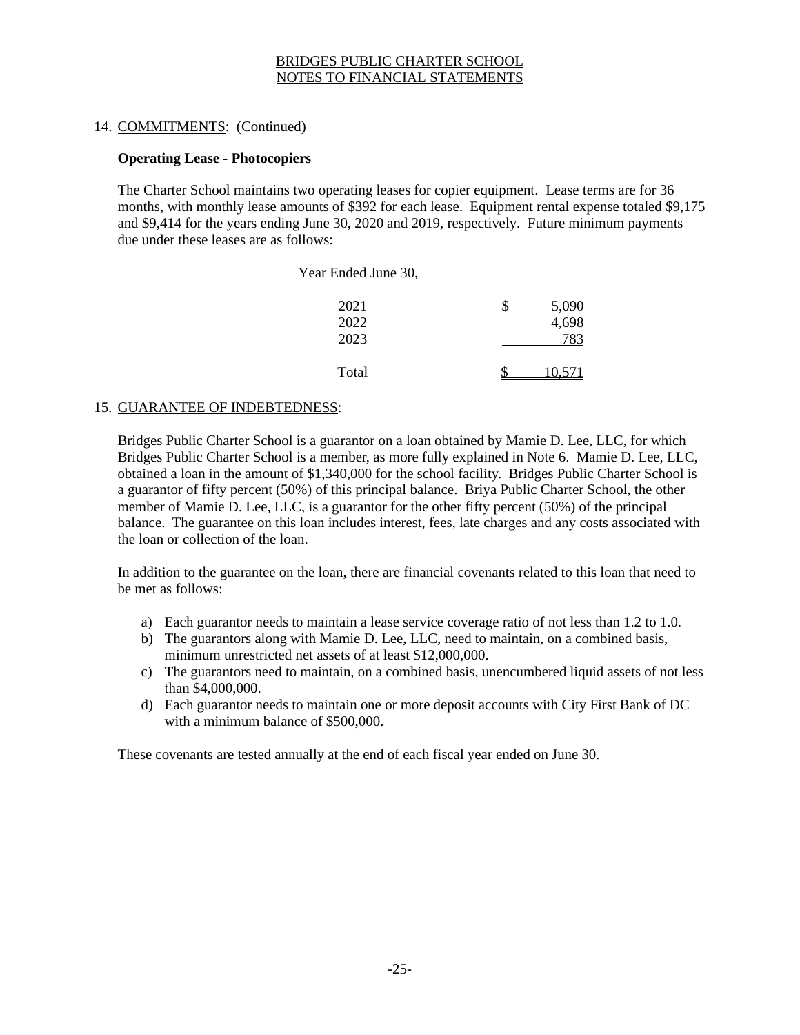# 14. COMMITMENTS: (Continued)

# **Operating Lease - Photocopiers**

The Charter School maintains two operating leases for copier equipment. Lease terms are for 36 months, with monthly lease amounts of \$392 for each lease. Equipment rental expense totaled \$9,175 and \$9,414 for the years ending June 30, 2020 and 2019, respectively. Future minimum payments due under these leases are as follows:

| Year Ended June 30, |             |
|---------------------|-------------|
| 2021                | \$<br>5,090 |
| 2022                | 4,698       |
| 2023                | 783         |
|                     |             |
| Total               |             |

# 15. GUARANTEE OF INDEBTEDNESS:

Bridges Public Charter School is a guarantor on a loan obtained by Mamie D. Lee, LLC, for which Bridges Public Charter School is a member, as more fully explained in Note 6. Mamie D. Lee, LLC, obtained a loan in the amount of \$1,340,000 for the school facility. Bridges Public Charter School is a guarantor of fifty percent (50%) of this principal balance. Briya Public Charter School, the other member of Mamie D. Lee, LLC, is a guarantor for the other fifty percent (50%) of the principal balance. The guarantee on this loan includes interest, fees, late charges and any costs associated with the loan or collection of the loan.

In addition to the guarantee on the loan, there are financial covenants related to this loan that need to be met as follows:

- a) Each guarantor needs to maintain a lease service coverage ratio of not less than 1.2 to 1.0.
- b) The guarantors along with Mamie D. Lee, LLC, need to maintain, on a combined basis, minimum unrestricted net assets of at least \$12,000,000.
- c) The guarantors need to maintain, on a combined basis, unencumbered liquid assets of not less than \$4,000,000.
- d) Each guarantor needs to maintain one or more deposit accounts with City First Bank of DC with a minimum balance of \$500,000.

These covenants are tested annually at the end of each fiscal year ended on June 30.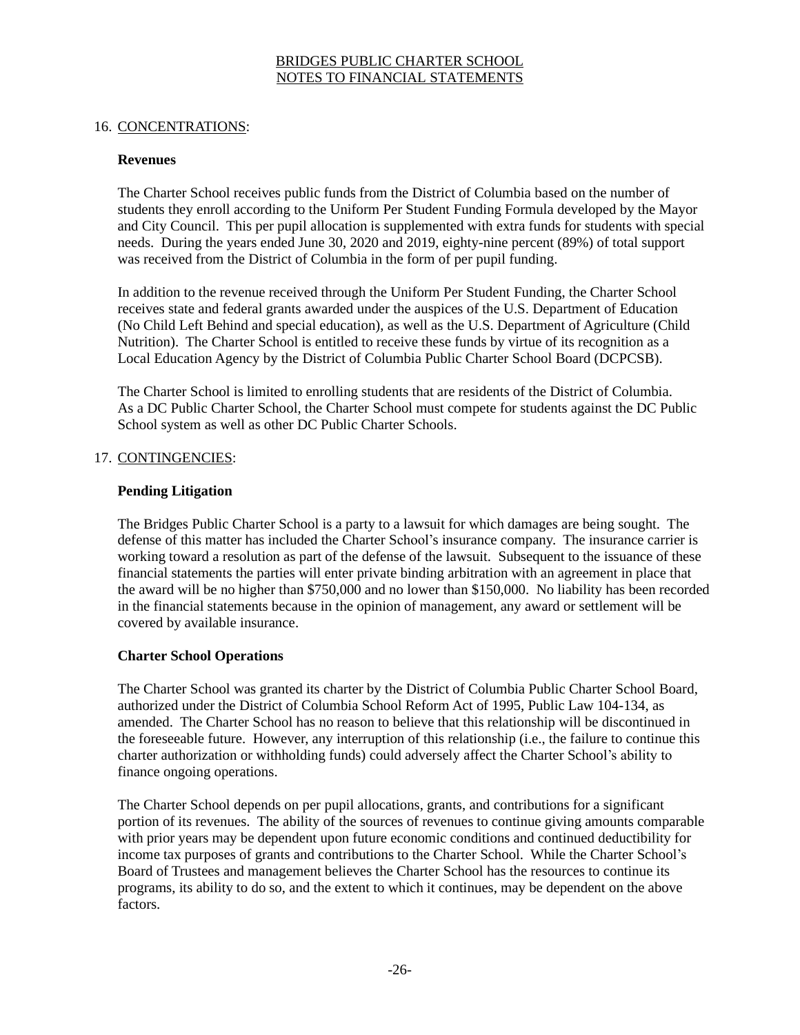#### 16. CONCENTRATIONS:

#### **Revenues**

The Charter School receives public funds from the District of Columbia based on the number of students they enroll according to the Uniform Per Student Funding Formula developed by the Mayor and City Council. This per pupil allocation is supplemented with extra funds for students with special needs. During the years ended June 30, 2020 and 2019, eighty-nine percent (89%) of total support was received from the District of Columbia in the form of per pupil funding.

In addition to the revenue received through the Uniform Per Student Funding, the Charter School receives state and federal grants awarded under the auspices of the U.S. Department of Education (No Child Left Behind and special education), as well as the U.S. Department of Agriculture (Child Nutrition). The Charter School is entitled to receive these funds by virtue of its recognition as a Local Education Agency by the District of Columbia Public Charter School Board (DCPCSB).

The Charter School is limited to enrolling students that are residents of the District of Columbia. As a DC Public Charter School, the Charter School must compete for students against the DC Public School system as well as other DC Public Charter Schools.

# 17. CONTINGENCIES:

#### **Pending Litigation**

The Bridges Public Charter School is a party to a lawsuit for which damages are being sought. The defense of this matter has included the Charter School's insurance company. The insurance carrier is working toward a resolution as part of the defense of the lawsuit. Subsequent to the issuance of these financial statements the parties will enter private binding arbitration with an agreement in place that the award will be no higher than \$750,000 and no lower than \$150,000. No liability has been recorded in the financial statements because in the opinion of management, any award or settlement will be covered by available insurance.

# **Charter School Operations**

The Charter School was granted its charter by the District of Columbia Public Charter School Board, authorized under the District of Columbia School Reform Act of 1995, Public Law 104-134, as amended. The Charter School has no reason to believe that this relationship will be discontinued in the foreseeable future. However, any interruption of this relationship (i.e., the failure to continue this charter authorization or withholding funds) could adversely affect the Charter School's ability to finance ongoing operations.

The Charter School depends on per pupil allocations, grants, and contributions for a significant portion of its revenues. The ability of the sources of revenues to continue giving amounts comparable with prior years may be dependent upon future economic conditions and continued deductibility for income tax purposes of grants and contributions to the Charter School. While the Charter School's Board of Trustees and management believes the Charter School has the resources to continue its programs, its ability to do so, and the extent to which it continues, may be dependent on the above factors.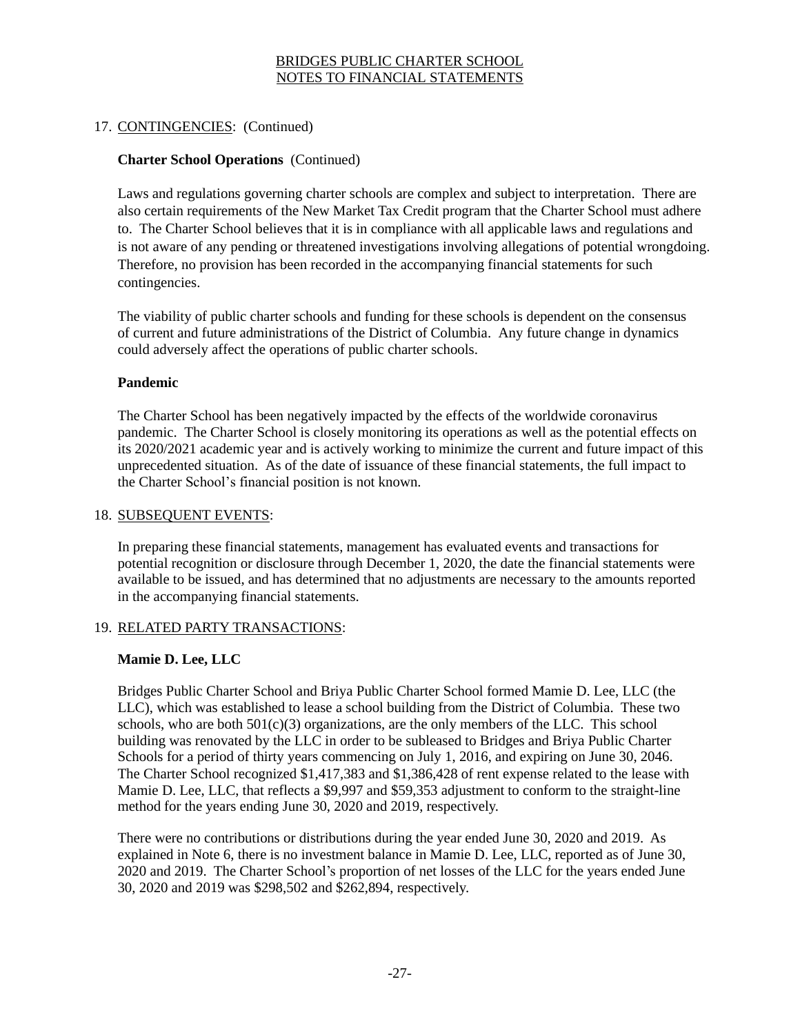# 17. CONTINGENCIES: (Continued)

# **Charter School Operations** (Continued)

Laws and regulations governing charter schools are complex and subject to interpretation. There are also certain requirements of the New Market Tax Credit program that the Charter School must adhere to. The Charter School believes that it is in compliance with all applicable laws and regulations and is not aware of any pending or threatened investigations involving allegations of potential wrongdoing. Therefore, no provision has been recorded in the accompanying financial statements for such contingencies.

The viability of public charter schools and funding for these schools is dependent on the consensus of current and future administrations of the District of Columbia. Any future change in dynamics could adversely affect the operations of public charter schools.

# **Pandemic**

The Charter School has been negatively impacted by the effects of the worldwide coronavirus pandemic. The Charter School is closely monitoring its operations as well as the potential effects on its 2020/2021 academic year and is actively working to minimize the current and future impact of this unprecedented situation. As of the date of issuance of these financial statements, the full impact to the Charter School's financial position is not known.

## 18. SUBSEQUENT EVENTS:

In preparing these financial statements, management has evaluated events and transactions for potential recognition or disclosure through December 1, 2020, the date the financial statements were available to be issued, and has determined that no adjustments are necessary to the amounts reported in the accompanying financial statements.

# 19. RELATED PARTY TRANSACTIONS:

# **Mamie D. Lee, LLC**

Bridges Public Charter School and Briya Public Charter School formed Mamie D. Lee, LLC (the LLC), which was established to lease a school building from the District of Columbia. These two schools, who are both  $501(c)(3)$  organizations, are the only members of the LLC. This school building was renovated by the LLC in order to be subleased to Bridges and Briya Public Charter Schools for a period of thirty years commencing on July 1, 2016, and expiring on June 30, 2046. The Charter School recognized \$1,417,383 and \$1,386,428 of rent expense related to the lease with Mamie D. Lee, LLC, that reflects a \$9,997 and \$59,353 adjustment to conform to the straight-line method for the years ending June 30, 2020 and 2019, respectively.

There were no contributions or distributions during the year ended June 30, 2020 and 2019. As explained in Note 6, there is no investment balance in Mamie D. Lee, LLC, reported as of June 30, 2020 and 2019. The Charter School's proportion of net losses of the LLC for the years ended June 30, 2020 and 2019 was \$298,502 and \$262,894, respectively.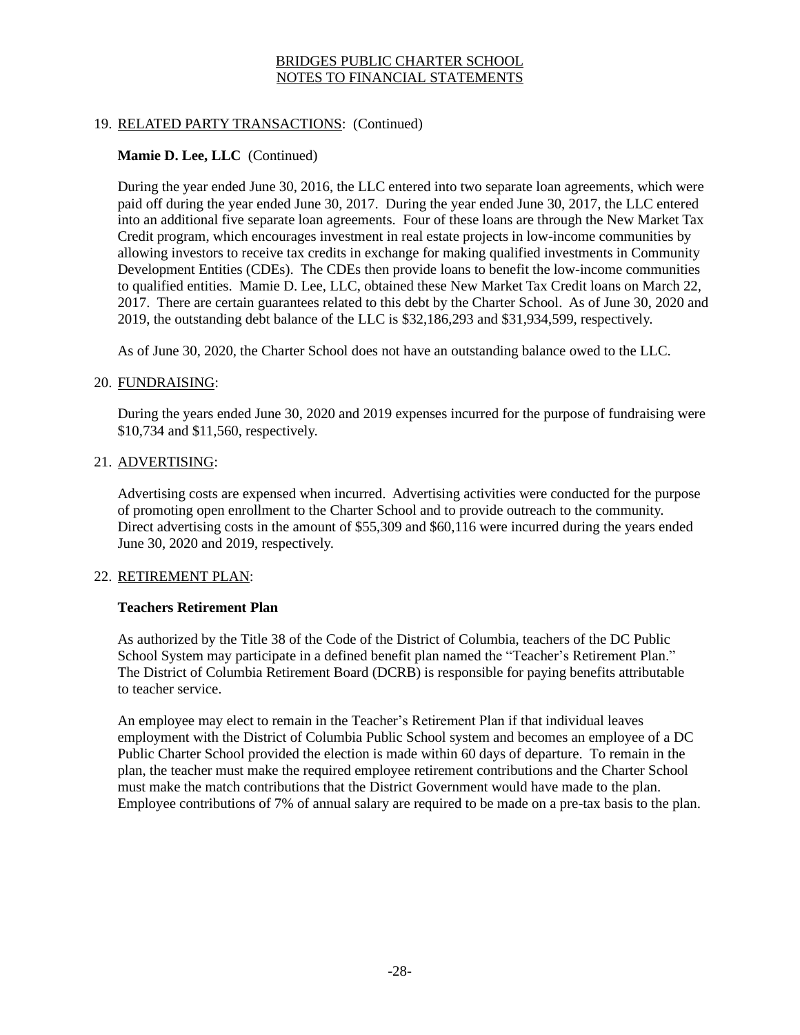# 19. RELATED PARTY TRANSACTIONS: (Continued)

# **Mamie D. Lee, LLC** (Continued)

During the year ended June 30, 2016, the LLC entered into two separate loan agreements, which were paid off during the year ended June 30, 2017. During the year ended June 30, 2017, the LLC entered into an additional five separate loan agreements. Four of these loans are through the New Market Tax Credit program, which encourages investment in real estate projects in low-income communities by allowing investors to receive tax credits in exchange for making qualified investments in Community Development Entities (CDEs). The CDEs then provide loans to benefit the low-income communities to qualified entities. Mamie D. Lee, LLC, obtained these New Market Tax Credit loans on March 22, 2017. There are certain guarantees related to this debt by the Charter School. As of June 30, 2020 and 2019, the outstanding debt balance of the LLC is \$32,186,293 and \$31,934,599, respectively.

As of June 30, 2020, the Charter School does not have an outstanding balance owed to the LLC.

# 20. FUNDRAISING:

During the years ended June 30, 2020 and 2019 expenses incurred for the purpose of fundraising were \$10,734 and \$11,560, respectively.

# 21. ADVERTISING:

Advertising costs are expensed when incurred. Advertising activities were conducted for the purpose of promoting open enrollment to the Charter School and to provide outreach to the community. Direct advertising costs in the amount of \$55,309 and \$60,116 were incurred during the years ended June 30, 2020 and 2019, respectively.

# 22. RETIREMENT PLAN:

# **Teachers Retirement Plan**

As authorized by the Title 38 of the Code of the District of Columbia, teachers of the DC Public School System may participate in a defined benefit plan named the "Teacher's Retirement Plan." The District of Columbia Retirement Board (DCRB) is responsible for paying benefits attributable to teacher service.

An employee may elect to remain in the Teacher's Retirement Plan if that individual leaves employment with the District of Columbia Public School system and becomes an employee of a DC Public Charter School provided the election is made within 60 days of departure. To remain in the plan, the teacher must make the required employee retirement contributions and the Charter School must make the match contributions that the District Government would have made to the plan. Employee contributions of 7% of annual salary are required to be made on a pre-tax basis to the plan.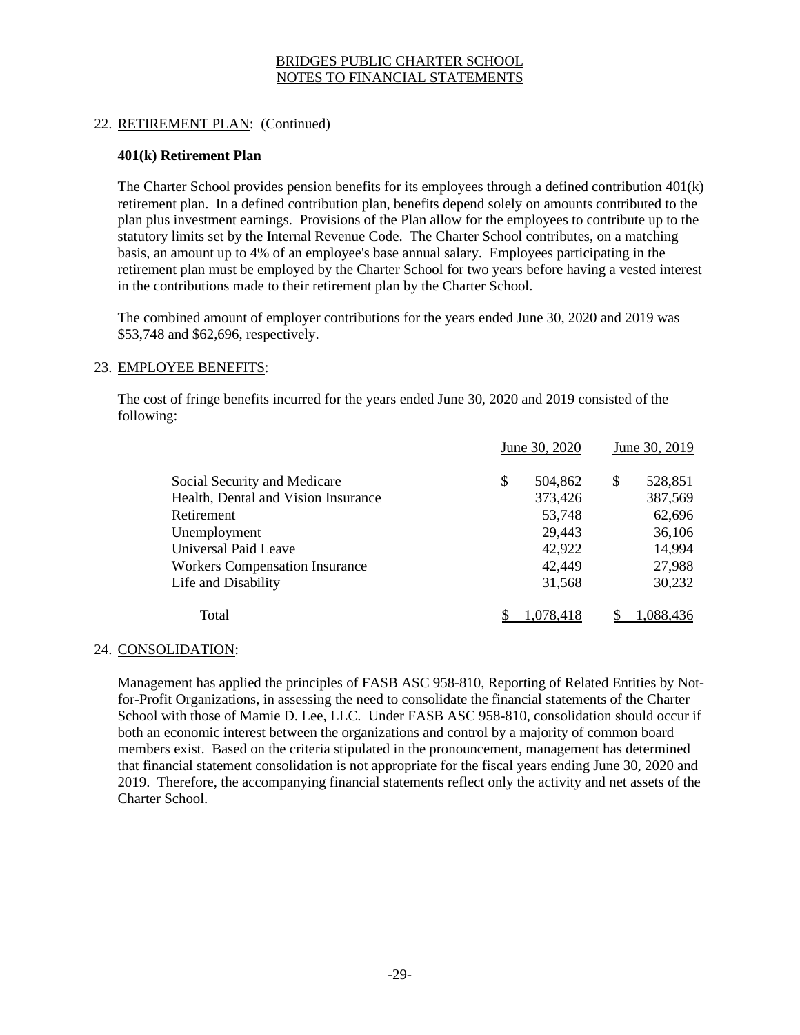# 22. RETIREMENT PLAN: (Continued)

# **401(k) Retirement Plan**

The Charter School provides pension benefits for its employees through a defined contribution 401(k) retirement plan. In a defined contribution plan, benefits depend solely on amounts contributed to the plan plus investment earnings. Provisions of the Plan allow for the employees to contribute up to the statutory limits set by the Internal Revenue Code. The Charter School contributes, on a matching basis, an amount up to 4% of an employee's base annual salary. Employees participating in the retirement plan must be employed by the Charter School for two years before having a vested interest in the contributions made to their retirement plan by the Charter School.

The combined amount of employer contributions for the years ended June 30, 2020 and 2019 was \$53,748 and \$62,696, respectively.

# 23. EMPLOYEE BENEFITS:

The cost of fringe benefits incurred for the years ended June 30, 2020 and 2019 consisted of the following:

|                                       | June 30, 2020 | June 30, 2019 |
|---------------------------------------|---------------|---------------|
| Social Security and Medicare          | \$<br>504,862 | \$<br>528,851 |
| Health, Dental and Vision Insurance   | 373,426       | 387,569       |
| Retirement                            | 53,748        | 62,696        |
| Unemployment                          | 29,443        | 36,106        |
| Universal Paid Leave                  | 42,922        | 14,994        |
| <b>Workers Compensation Insurance</b> | 42,449        | 27,988        |
| Life and Disability                   | 31,568        | 30,232        |
|                                       |               |               |
| Total                                 | 1.078.418     |               |

# 24. CONSOLIDATION:

Management has applied the principles of FASB ASC 958-810, Reporting of Related Entities by Notfor-Profit Organizations, in assessing the need to consolidate the financial statements of the Charter School with those of Mamie D. Lee, LLC. Under FASB ASC 958-810, consolidation should occur if both an economic interest between the organizations and control by a majority of common board members exist. Based on the criteria stipulated in the pronouncement, management has determined that financial statement consolidation is not appropriate for the fiscal years ending June 30, 2020 and 2019. Therefore, the accompanying financial statements reflect only the activity and net assets of the Charter School.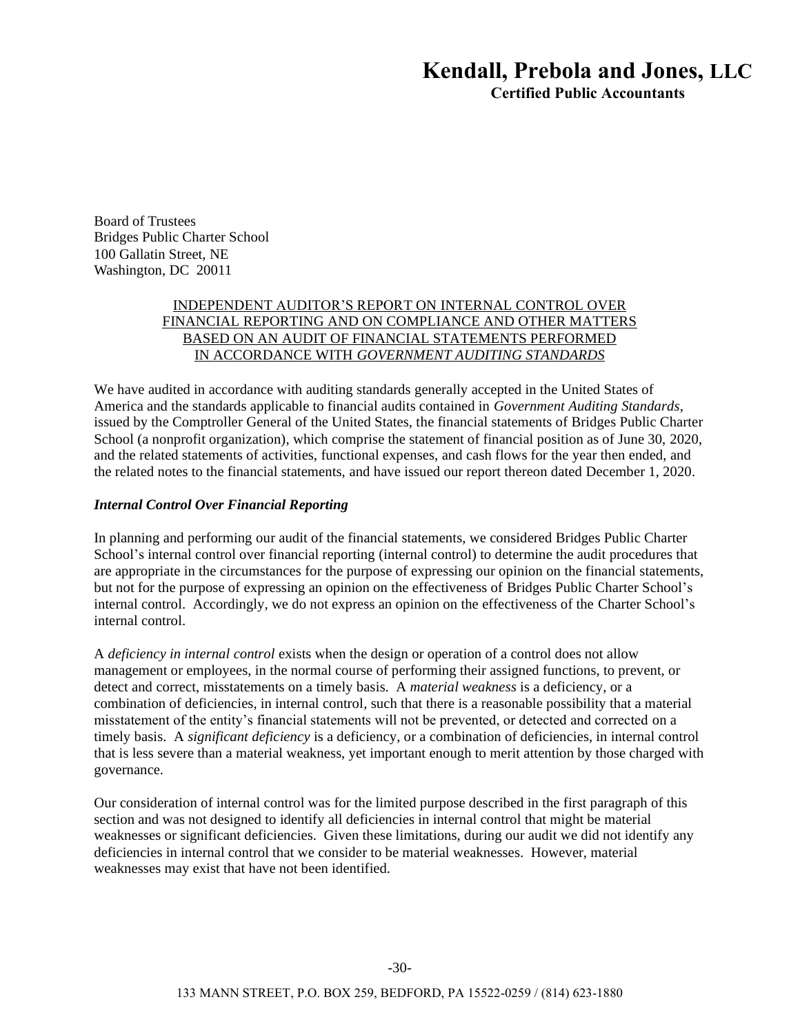# Kendall, Prebola and Jones, LLC

Certified Public Accountants

Board of Trustees Bridges Public Charter School 100 Gallatin Street, NE Washington, DC 20011

# INDEPENDENT AUDITOR'S REPORT ON INTERNAL CONTROL OVER FINANCIAL REPORTING AND ON COMPLIANCE AND OTHER MATTERS BASED ON AN AUDIT OF FINANCIAL STATEMENTS PERFORMED IN ACCORDANCE WITH *GOVERNMENT AUDITING STANDARDS*

We have audited in accordance with auditing standards generally accepted in the United States of America and the standards applicable to financial audits contained in *Government Auditing Standards*, issued by the Comptroller General of the United States, the financial statements of Bridges Public Charter School (a nonprofit organization), which comprise the statement of financial position as of June 30, 2020, and the related statements of activities, functional expenses, and cash flows for the year then ended, and the related notes to the financial statements, and have issued our report thereon dated December 1, 2020.

# *Internal Control Over Financial Reporting*

In planning and performing our audit of the financial statements, we considered Bridges Public Charter School's internal control over financial reporting (internal control) to determine the audit procedures that are appropriate in the circumstances for the purpose of expressing our opinion on the financial statements, but not for the purpose of expressing an opinion on the effectiveness of Bridges Public Charter School's internal control. Accordingly, we do not express an opinion on the effectiveness of the Charter School's internal control.

A *deficiency in internal control* exists when the design or operation of a control does not allow management or employees, in the normal course of performing their assigned functions, to prevent, or detect and correct, misstatements on a timely basis. A *material weakness* is a deficiency, or a combination of deficiencies, in internal control, such that there is a reasonable possibility that a material misstatement of the entity's financial statements will not be prevented, or detected and corrected on a timely basis. A *significant deficiency* is a deficiency, or a combination of deficiencies, in internal control that is less severe than a material weakness, yet important enough to merit attention by those charged with governance.

Our consideration of internal control was for the limited purpose described in the first paragraph of this section and was not designed to identify all deficiencies in internal control that might be material weaknesses or significant deficiencies. Given these limitations, during our audit we did not identify any deficiencies in internal control that we consider to be material weaknesses. However, material weaknesses may exist that have not been identified.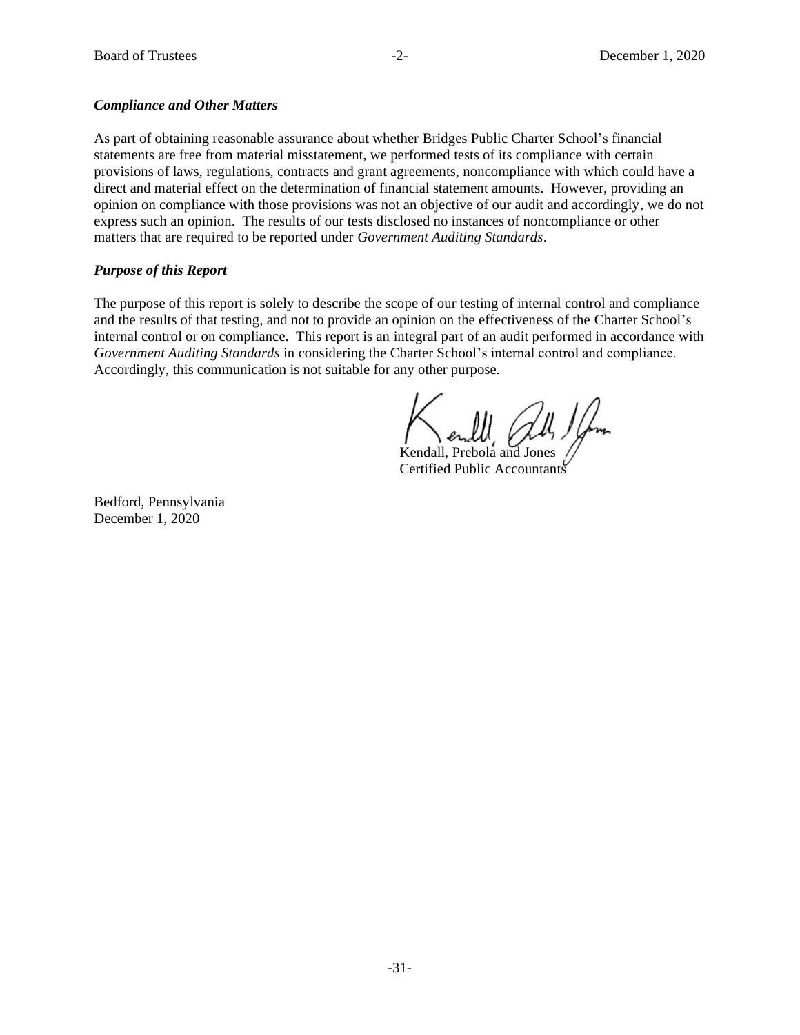# *Compliance and Other Matters*

As part of obtaining reasonable assurance about whether Bridges Public Charter School's financial statements are free from material misstatement, we performed tests of its compliance with certain provisions of laws, regulations, contracts and grant agreements, noncompliance with which could have a direct and material effect on the determination of financial statement amounts. However, providing an opinion on compliance with those provisions was not an objective of our audit and accordingly, we do not express such an opinion. The results of our tests disclosed no instances of noncompliance or other matters that are required to be reported under *Government Auditing Standards*.

# *Purpose of this Report*

The purpose of this report is solely to describe the scope of our testing of internal control and compliance and the results of that testing, and not to provide an opinion on the effectiveness of the Charter School's internal control or on compliance. This report is an integral part of an audit performed in accordance with *Government Auditing Standards* in considering the Charter School's internal control and compliance. Accordingly, this communication is not suitable for any other purpose.

Kendall, Prebola and Jones

Certified Public Accountant

Bedford, Pennsylvania December 1, 2020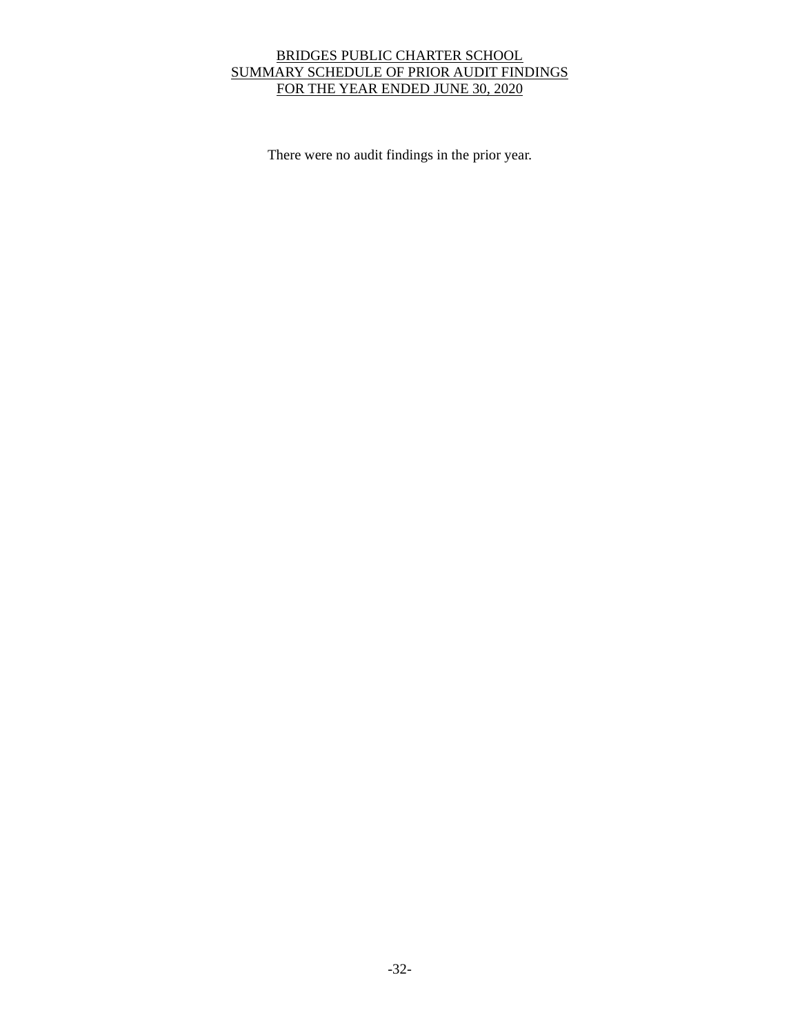# BRIDGES PUBLIC CHARTER SCHOOL SUMMARY SCHEDULE OF PRIOR AUDIT FINDINGS FOR THE YEAR ENDED JUNE 30, 2020

There were no audit findings in the prior year.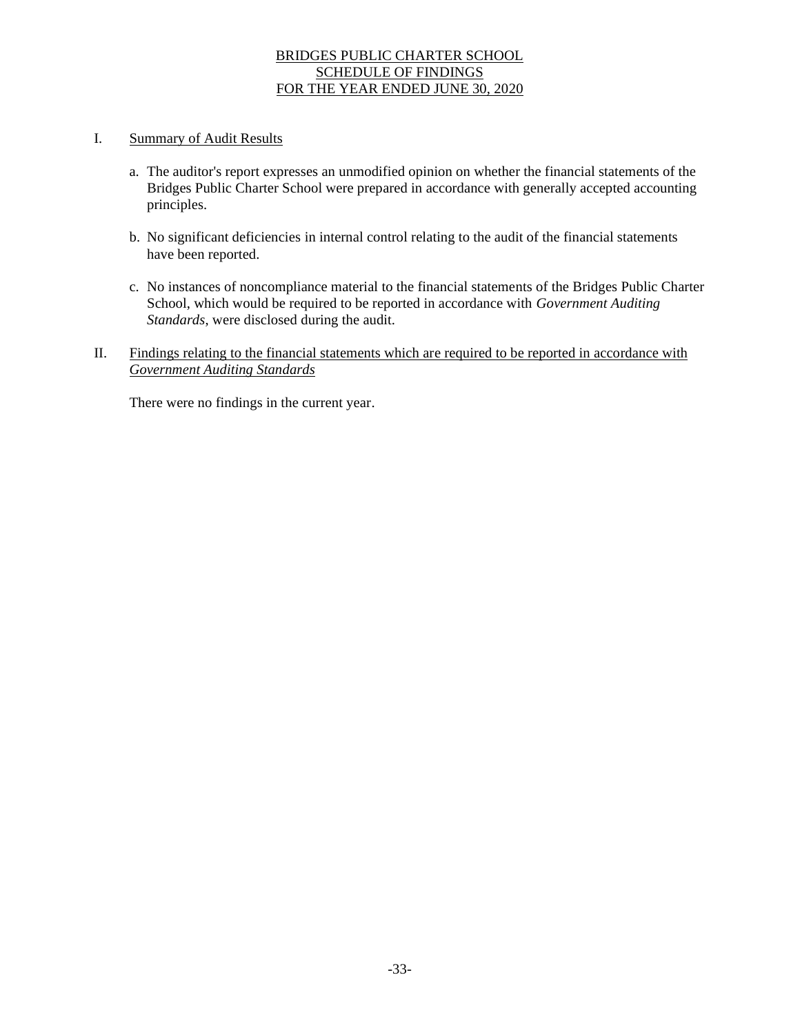## BRIDGES PUBLIC CHARTER SCHOOL SCHEDULE OF FINDINGS FOR THE YEAR ENDED JUNE 30, 2020

#### I. Summary of Audit Results

- a. The auditor's report expresses an unmodified opinion on whether the financial statements of the Bridges Public Charter School were prepared in accordance with generally accepted accounting principles.
- b. No significant deficiencies in internal control relating to the audit of the financial statements have been reported.
- c. No instances of noncompliance material to the financial statements of the Bridges Public Charter School, which would be required to be reported in accordance with *Government Auditing Standards*, were disclosed during the audit.
- II. Findings relating to the financial statements which are required to be reported in accordance with *Government Auditing Standards*

There were no findings in the current year.